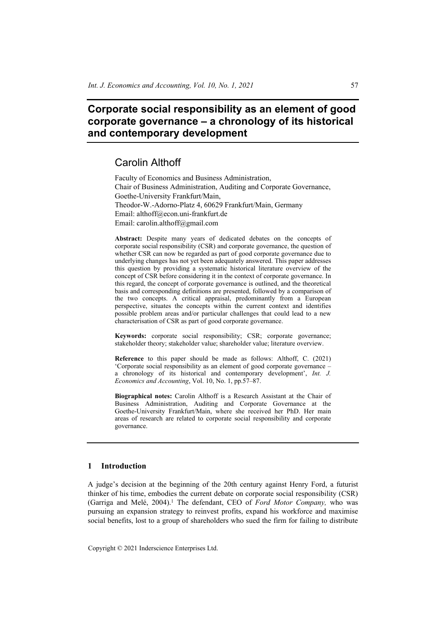# **Corporate social responsibility as an element of good corporate governance – a chronology of its historical and contemporary development**

# Carolin Althoff

Faculty of Economics and Business Administration, Chair of Business Administration, Auditing and Corporate Governance, Goethe-University Frankfurt/Main, Theodor-W.-Adorno-Platz 4, 60629 Frankfurt/Main, Germany Email: althoff@econ.uni-frankfurt.de Email: carolin.althoff@gmail.com

**Abstract:** Despite many years of dedicated debates on the concepts of corporate social responsibility (CSR) and corporate governance, the question of whether CSR can now be regarded as part of good corporate governance due to underlying changes has not yet been adequately answered. This paper addresses this question by providing a systematic historical literature overview of the concept of CSR before considering it in the context of corporate governance. In this regard, the concept of corporate governance is outlined, and the theoretical basis and corresponding definitions are presented, followed by a comparison of the two concepts. A critical appraisal, predominantly from a European perspective, situates the concepts within the current context and identifies possible problem areas and/or particular challenges that could lead to a new characterisation of CSR as part of good corporate governance.

**Keywords:** corporate social responsibility; CSR; corporate governance; stakeholder theory; stakeholder value; shareholder value; literature overview.

**Reference** to this paper should be made as follows: Althoff, C. (2021) 'Corporate social responsibility as an element of good corporate governance – a chronology of its historical and contemporary development', *Int. J. Economics and Accounting*, Vol. 10, No. 1, pp.57–87.

**Biographical notes:** Carolin Althoff is a Research Assistant at the Chair of Business Administration, Auditing and Corporate Governance at the Goethe-University Frankfurt/Main, where she received her PhD. Her main areas of research are related to corporate social responsibility and corporate governance.

#### **1 Introduction**

A judge's decision at the beginning of the 20th century against Henry Ford, a futurist thinker of his time, embodies the current debate on corporate social responsibility (CSR) (Garriga and Melé, 2004).<sup>1</sup> The defendant, CEO of *Ford Motor Company*, who was pursuing an expansion strategy to reinvest profits, expand his workforce and maximise social benefits, lost to a group of shareholders who sued the firm for failing to distribute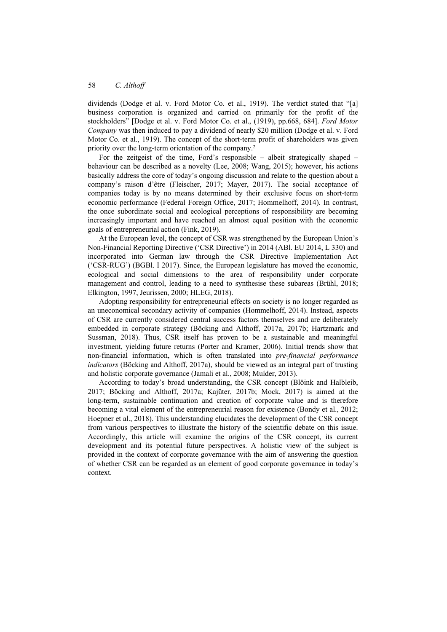dividends (Dodge et al. v. Ford Motor Co. et al., 1919). The verdict stated that "[a] business corporation is organized and carried on primarily for the profit of the stockholders" [Dodge et al. v. Ford Motor Co. et al., (1919), pp.668, 684]. *Ford Motor Company* was then induced to pay a dividend of nearly \$20 million (Dodge et al. v. Ford Motor Co. et al., 1919). The concept of the short-term profit of shareholders was given priority over the long-term orientation of the company.2

For the zeitgeist of the time, Ford's responsible – albeit strategically shaped – behaviour can be described as a novelty (Lee, 2008; Wang, 2015); however, his actions basically address the core of today's ongoing discussion and relate to the question about a company's raison d'être (Fleischer, 2017; Mayer, 2017). The social acceptance of companies today is by no means determined by their exclusive focus on short-term economic performance (Federal Foreign Office, 2017; Hommelhoff, 2014). In contrast, the once subordinate social and ecological perceptions of responsibility are becoming increasingly important and have reached an almost equal position with the economic goals of entrepreneurial action (Fink, 2019).

At the European level, the concept of CSR was strengthened by the European Union's Non-Financial Reporting Directive ('CSR Directive') in 2014 (ABl. EU 2014, L 330) and incorporated into German law through the CSR Directive Implementation Act ('CSR-RUG') (BGBl. I 2017). Since, the European legislature has moved the economic, ecological and social dimensions to the area of responsibility under corporate management and control, leading to a need to synthesise these subareas (Brühl, 2018; Elkington, 1997, Jeurissen, 2000; HLEG, 2018).

Adopting responsibility for entrepreneurial effects on society is no longer regarded as an uneconomical secondary activity of companies (Hommelhoff, 2014). Instead, aspects of CSR are currently considered central success factors themselves and are deliberately embedded in corporate strategy (Böcking and Althoff, 2017a, 2017b; Hartzmark and Sussman, 2018). Thus, CSR itself has proven to be a sustainable and meaningful investment, yielding future returns (Porter and Kramer, 2006). Initial trends show that non-financial information, which is often translated into *pre-financial performance indicators* (Böcking and Althoff, 2017a), should be viewed as an integral part of trusting and holistic corporate governance (Jamali et al., 2008; Mulder, 2013).

According to today's broad understanding, the CSR concept (Blöink and Halbleib, 2017; Böcking and Althoff, 2017a; Kajüter, 2017b; Mock, 2017) is aimed at the long-term, sustainable continuation and creation of corporate value and is therefore becoming a vital element of the entrepreneurial reason for existence (Bondy et al., 2012; Hoepner et al., 2018). This understanding elucidates the development of the CSR concept from various perspectives to illustrate the history of the scientific debate on this issue. Accordingly, this article will examine the origins of the CSR concept, its current development and its potential future perspectives. A holistic view of the subject is provided in the context of corporate governance with the aim of answering the question of whether CSR can be regarded as an element of good corporate governance in today's context.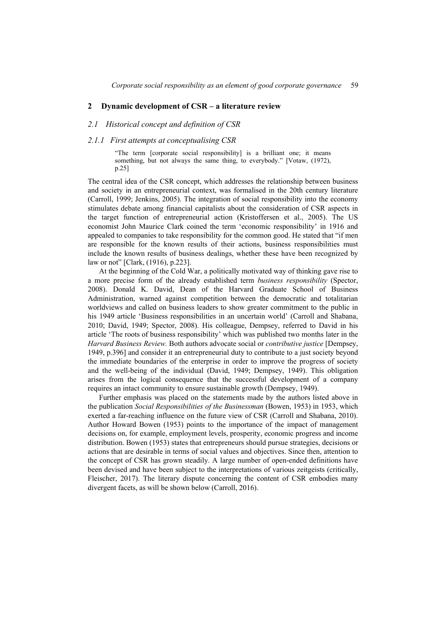#### **2 Dynamic development of CSR – a literature review**

#### *2.1 Historical concept and definition of CSR*

#### *2.1.1 First attempts at conceptualising CSR*

"The term [corporate social responsibility] is a brilliant one; it means something, but not always the same thing, to everybody." [Votaw, (1972), p.25]

The central idea of the CSR concept, which addresses the relationship between business and society in an entrepreneurial context, was formalised in the 20th century literature (Carroll, 1999; Jenkins, 2005). The integration of social responsibility into the economy stimulates debate among financial capitalists about the consideration of CSR aspects in the target function of entrepreneurial action (Kristoffersen et al., 2005). The US economist John Maurice Clark coined the term 'economic responsibility' in 1916 and appealed to companies to take responsibility for the common good. He stated that "if men are responsible for the known results of their actions, business responsibilities must include the known results of business dealings, whether these have been recognized by law or not" [Clark, (1916), p.223].

At the beginning of the Cold War, a politically motivated way of thinking gave rise to a more precise form of the already established term *business responsibility* (Spector, 2008). Donald K. David, Dean of the Harvard Graduate School of Business Administration, warned against competition between the democratic and totalitarian worldviews and called on business leaders to show greater commitment to the public in his 1949 article 'Business responsibilities in an uncertain world' (Carroll and Shabana, 2010; David, 1949; Spector, 2008). His colleague, Dempsey, referred to David in his article 'The roots of business responsibility' which was published two months later in the *Harvard Business Review.* Both authors advocate social or *contributive justice* [Dempsey, 1949, p.396] and consider it an entrepreneurial duty to contribute to a just society beyond the immediate boundaries of the enterprise in order to improve the progress of society and the well-being of the individual (David, 1949; Dempsey, 1949). This obligation arises from the logical consequence that the successful development of a company requires an intact community to ensure sustainable growth (Dempsey, 1949).

Further emphasis was placed on the statements made by the authors listed above in the publication *Social Responsibilities of the Businessman* (Bowen, 1953) in 1953, which exerted a far-reaching influence on the future view of CSR (Carroll and Shabana, 2010). Author Howard Bowen (1953) points to the importance of the impact of management decisions on, for example, employment levels, prosperity, economic progress and income distribution. Bowen (1953) states that entrepreneurs should pursue strategies, decisions or actions that are desirable in terms of social values and objectives. Since then, attention to the concept of CSR has grown steadily. A large number of open-ended definitions have been devised and have been subject to the interpretations of various zeitgeists (critically, Fleischer, 2017). The literary dispute concerning the content of CSR embodies many divergent facets, as will be shown below (Carroll, 2016).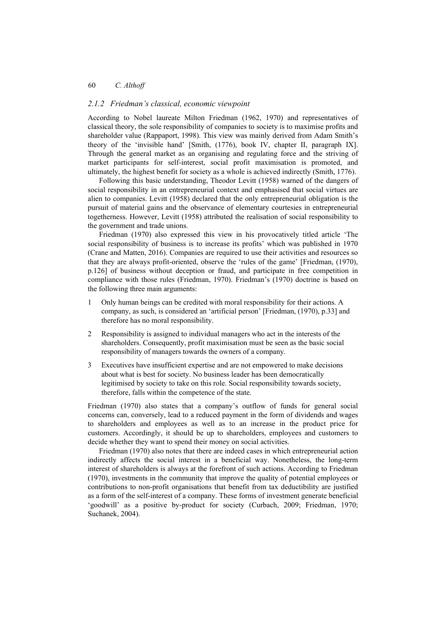## *2.1.2 Friedman's classical, economic viewpoint*

According to Nobel laureate Milton Friedman (1962, 1970) and representatives of classical theory, the sole responsibility of companies to society is to maximise profits and shareholder value (Rappaport, 1998). This view was mainly derived from Adam Smith's theory of the 'invisible hand' [Smith, (1776), book IV, chapter II, paragraph IX]. Through the general market as an organising and regulating force and the striving of market participants for self-interest, social profit maximisation is promoted, and ultimately, the highest benefit for society as a whole is achieved indirectly (Smith, 1776).

Following this basic understanding, Theodor Levitt (1958) warned of the dangers of social responsibility in an entrepreneurial context and emphasised that social virtues are alien to companies. Levitt (1958) declared that the only entrepreneurial obligation is the pursuit of material gains and the observance of elementary courtesies in entrepreneurial togetherness. However, Levitt (1958) attributed the realisation of social responsibility to the government and trade unions.

Friedman (1970) also expressed this view in his provocatively titled article 'The social responsibility of business is to increase its profits' which was published in 1970 (Crane and Matten, 2016). Companies are required to use their activities and resources so that they are always profit-oriented, observe the 'rules of the game' [Friedman, (1970), p.126] of business without deception or fraud, and participate in free competition in compliance with those rules (Friedman, 1970). Friedman's (1970) doctrine is based on the following three main arguments:

- 1 Only human beings can be credited with moral responsibility for their actions. A company, as such, is considered an 'artificial person' [Friedman, (1970), p.33] and therefore has no moral responsibility.
- 2 Responsibility is assigned to individual managers who act in the interests of the shareholders. Consequently, profit maximisation must be seen as the basic social responsibility of managers towards the owners of a company.
- 3 Executives have insufficient expertise and are not empowered to make decisions about what is best for society. No business leader has been democratically legitimised by society to take on this role. Social responsibility towards society, therefore, falls within the competence of the state.

Friedman (1970) also states that a company's outflow of funds for general social concerns can, conversely, lead to a reduced payment in the form of dividends and wages to shareholders and employees as well as to an increase in the product price for customers. Accordingly, it should be up to shareholders, employees and customers to decide whether they want to spend their money on social activities.

Friedman (1970) also notes that there are indeed cases in which entrepreneurial action indirectly affects the social interest in a beneficial way. Nonetheless, the long-term interest of shareholders is always at the forefront of such actions. According to Friedman (1970), investments in the community that improve the quality of potential employees or contributions to non-profit organisations that benefit from tax deductibility are justified as a form of the self-interest of a company. These forms of investment generate beneficial 'goodwill' as a positive by-product for society (Curbach, 2009; Friedman, 1970; Suchanek, 2004).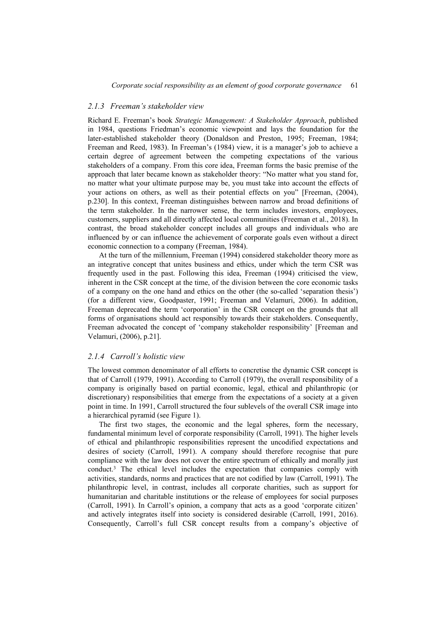#### *2.1.3 Freeman's stakeholder view*

Richard E. Freeman's book *Strategic Management: A Stakeholder Approach*, published in 1984, questions Friedman's economic viewpoint and lays the foundation for the later-established stakeholder theory (Donaldson and Preston, 1995; Freeman, 1984; Freeman and Reed, 1983). In Freeman's (1984) view, it is a manager's job to achieve a certain degree of agreement between the competing expectations of the various stakeholders of a company. From this core idea, Freeman forms the basic premise of the approach that later became known as stakeholder theory: "No matter what you stand for, no matter what your ultimate purpose may be, you must take into account the effects of your actions on others, as well as their potential effects on you" [Freeman, (2004), p.230]. In this context, Freeman distinguishes between narrow and broad definitions of the term stakeholder. In the narrower sense, the term includes investors, employees, customers, suppliers and all directly affected local communities (Freeman et al., 2018). In contrast, the broad stakeholder concept includes all groups and individuals who are influenced by or can influence the achievement of corporate goals even without a direct economic connection to a company (Freeman, 1984).

At the turn of the millennium, Freeman (1994) considered stakeholder theory more as an integrative concept that unites business and ethics, under which the term CSR was frequently used in the past. Following this idea, Freeman (1994) criticised the view, inherent in the CSR concept at the time, of the division between the core economic tasks of a company on the one hand and ethics on the other (the so-called 'separation thesis') (for a different view, Goodpaster, 1991; Freeman and Velamuri, 2006). In addition, Freeman deprecated the term 'corporation' in the CSR concept on the grounds that all forms of organisations should act responsibly towards their stakeholders. Consequently, Freeman advocated the concept of 'company stakeholder responsibility' [Freeman and Velamuri, (2006), p.21].

#### *2.1.4 Carroll's holistic view*

The lowest common denominator of all efforts to concretise the dynamic CSR concept is that of Carroll (1979, 1991). According to Carroll (1979), the overall responsibility of a company is originally based on partial economic, legal, ethical and philanthropic (or discretionary) responsibilities that emerge from the expectations of a society at a given point in time. In 1991, Carroll structured the four sublevels of the overall CSR image into a hierarchical pyramid (see Figure 1).

The first two stages, the economic and the legal spheres, form the necessary, fundamental minimum level of corporate responsibility (Carroll, 1991). The higher levels of ethical and philanthropic responsibilities represent the uncodified expectations and desires of society (Carroll, 1991). A company should therefore recognise that pure compliance with the law does not cover the entire spectrum of ethically and morally just conduct.3 The ethical level includes the expectation that companies comply with activities, standards, norms and practices that are not codified by law (Carroll, 1991). The philanthropic level, in contrast, includes all corporate charities, such as support for humanitarian and charitable institutions or the release of employees for social purposes (Carroll, 1991). In Carroll's opinion, a company that acts as a good 'corporate citizen' and actively integrates itself into society is considered desirable (Carroll, 1991, 2016). Consequently, Carroll's full CSR concept results from a company's objective of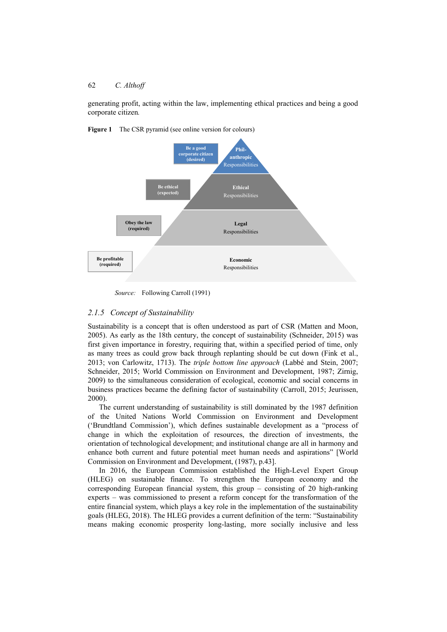generating profit, acting within the law, implementing ethical practices and being a good corporate citizen*.*



**Figure 1** The CSR pyramid (see online version for colours)

*Source:* Following Carroll (1991)

# *2.1.5 Concept of Sustainability*

Sustainability is a concept that is often understood as part of CSR (Matten and Moon, 2005). As early as the 18th century, the concept of sustainability (Schneider, 2015) was first given importance in forestry, requiring that, within a specified period of time, only as many trees as could grow back through replanting should be cut down (Fink et al., 2013; von Carlowitz, 1713). The *triple bottom line approach* (Labbé and Stein, 2007; Schneider, 2015; World Commission on Environment and Development, 1987; Zirnig, 2009) to the simultaneous consideration of ecological, economic and social concerns in business practices became the defining factor of sustainability (Carroll, 2015; Jeurissen, 2000).

The current understanding of sustainability is still dominated by the 1987 definition of the United Nations World Commission on Environment and Development ('Brundtland Commission'), which defines sustainable development as a "process of change in which the exploitation of resources, the direction of investments, the orientation of technological development; and institutional change are all in harmony and enhance both current and future potential meet human needs and aspirations" [World Commission on Environment and Development, (1987), p.43].

In 2016, the European Commission established the High-Level Expert Group (HLEG) on sustainable finance. To strengthen the European economy and the corresponding European financial system, this group – consisting of 20 high-ranking experts – was commissioned to present a reform concept for the transformation of the entire financial system, which plays a key role in the implementation of the sustainability goals (HLEG, 2018). The HLEG provides a current definition of the term: "Sustainability means making economic prosperity long-lasting, more socially inclusive and less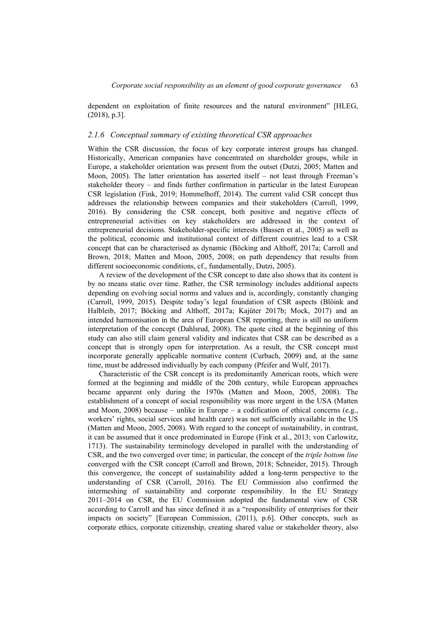dependent on exploitation of finite resources and the natural environment" [HLEG, (2018), p.3].

#### *2.1.6 Conceptual summary of existing theoretical CSR approaches*

Within the CSR discussion, the focus of key corporate interest groups has changed. Historically, American companies have concentrated on shareholder groups, while in Europe, a stakeholder orientation was present from the outset (Dutzi, 2005; Matten and Moon, 2005). The latter orientation has asserted itself – not least through Freeman's stakeholder theory – and finds further confirmation in particular in the latest European CSR legislation (Fink, 2019; Hommelhoff, 2014). The current valid CSR concept thus addresses the relationship between companies and their stakeholders (Carroll, 1999, 2016). By considering the CSR concept, both positive and negative effects of entrepreneurial activities on key stakeholders are addressed in the context of entrepreneurial decisions. Stakeholder-specific interests (Bassen et al., 2005) as well as the political, economic and institutional context of different countries lead to a CSR concept that can be characterised as dynamic (Böcking and Althoff, 2017a; Carroll and Brown, 2018; Matten and Moon, 2005, 2008; on path dependency that results from different socioeconomic conditions, cf., fundamentally, Dutzi, 2005).

A review of the development of the CSR concept to date also shows that its content is by no means static over time. Rather, the CSR terminology includes additional aspects depending on evolving social norms and values and is, accordingly, constantly changing (Carroll, 1999, 2015). Despite today's legal foundation of CSR aspects (Blöink and Halbleib, 2017; Böcking and Althoff, 2017a; Kajüter 2017b; Mock, 2017) and an intended harmonisation in the area of European CSR reporting, there is still no uniform interpretation of the concept (Dahlsrud, 2008). The quote cited at the beginning of this study can also still claim general validity and indicates that CSR can be described as a concept that is strongly open for interpretation. As a result, the CSR concept must incorporate generally applicable normative content (Curbach, 2009) and, at the same time, must be addressed individually by each company (Pfeifer and Wulf, 2017).

Characteristic of the CSR concept is its predominantly American roots, which were formed at the beginning and middle of the 20th century, while European approaches became apparent only during the 1970s (Matten and Moon, 2005, 2008). The establishment of a concept of social responsibility was more urgent in the USA (Matten and Moon, 2008) because – unlike in Europe – a codification of ethical concerns (e.g., workers' rights, social services and health care) was not sufficiently available in the US (Matten and Moon, 2005, 2008). With regard to the concept of sustainability, in contrast, it can be assumed that it once predominated in Europe (Fink et al., 2013; von Carlowitz, 1713). The sustainability terminology developed in parallel with the understanding of CSR, and the two converged over time; in particular, the concept of the *triple bottom line* converged with the CSR concept (Carroll and Brown, 2018; Schneider, 2015). Through this convergence, the concept of sustainability added a long-term perspective to the understanding of CSR (Carroll, 2016). The EU Commission also confirmed the intermeshing of sustainability and corporate responsibility. In the EU Strategy 2011–2014 on CSR, the EU Commission adopted the fundamental view of CSR according to Carroll and has since defined it as a "responsibility of enterprises for their impacts on society" [European Commission, (2011), p.6]. Other concepts, such as corporate ethics, corporate citizenship, creating shared value or stakeholder theory, also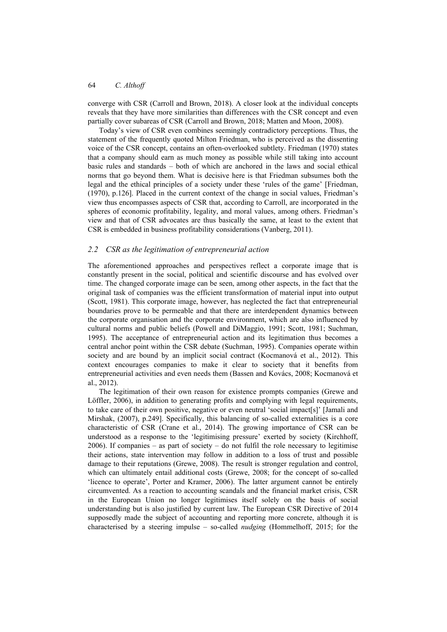converge with CSR (Carroll and Brown, 2018). A closer look at the individual concepts reveals that they have more similarities than differences with the CSR concept and even partially cover subareas of CSR (Carroll and Brown, 2018; Matten and Moon, 2008).

Today's view of CSR even combines seemingly contradictory perceptions. Thus, the statement of the frequently quoted Milton Friedman, who is perceived as the dissenting voice of the CSR concept, contains an often-overlooked subtlety. Friedman (1970) states that a company should earn as much money as possible while still taking into account basic rules and standards – both of which are anchored in the laws and social ethical norms that go beyond them. What is decisive here is that Friedman subsumes both the legal and the ethical principles of a society under these 'rules of the game' [Friedman, (1970), p.126]. Placed in the current context of the change in social values, Friedman's view thus encompasses aspects of CSR that, according to Carroll, are incorporated in the spheres of economic profitability, legality, and moral values, among others. Friedman's view and that of CSR advocates are thus basically the same, at least to the extent that CSR is embedded in business profitability considerations (Vanberg, 2011).

# *2.2 CSR as the legitimation of entrepreneurial action*

The aforementioned approaches and perspectives reflect a corporate image that is constantly present in the social, political and scientific discourse and has evolved over time. The changed corporate image can be seen, among other aspects, in the fact that the original task of companies was the efficient transformation of material input into output (Scott, 1981). This corporate image, however, has neglected the fact that entrepreneurial boundaries prove to be permeable and that there are interdependent dynamics between the corporate organisation and the corporate environment, which are also influenced by cultural norms and public beliefs (Powell and DiMaggio, 1991; Scott, 1981; Suchman, 1995). The acceptance of entrepreneurial action and its legitimation thus becomes a central anchor point within the CSR debate (Suchman, 1995). Companies operate within society and are bound by an implicit social contract (Kocmanová et al., 2012). This context encourages companies to make it clear to society that it benefits from entrepreneurial activities and even needs them (Bassen and Kovács, 2008; Kocmanová et al., 2012).

The legitimation of their own reason for existence prompts companies (Grewe and Löffler, 2006), in addition to generating profits and complying with legal requirements, to take care of their own positive, negative or even neutral 'social impact[s]' [Jamali and Mirshak, (2007), p.249]. Specifically, this balancing of so-called externalities is a core characteristic of CSR (Crane et al., 2014). The growing importance of CSR can be understood as a response to the 'legitimising pressure' exerted by society (Kirchhoff,  $2006$ ). If companies – as part of society – do not fulfil the role necessary to legitimise their actions, state intervention may follow in addition to a loss of trust and possible damage to their reputations (Grewe, 2008). The result is stronger regulation and control, which can ultimately entail additional costs (Grewe, 2008; for the concept of so-called 'licence to operate', Porter and Kramer, 2006). The latter argument cannot be entirely circumvented. As a reaction to accounting scandals and the financial market crisis, CSR in the European Union no longer legitimises itself solely on the basis of social understanding but is also justified by current law. The European CSR Directive of 2014 supposedly made the subject of accounting and reporting more concrete, although it is characterised by a steering impulse – so-called *nudging* (Hommelhoff, 2015; for the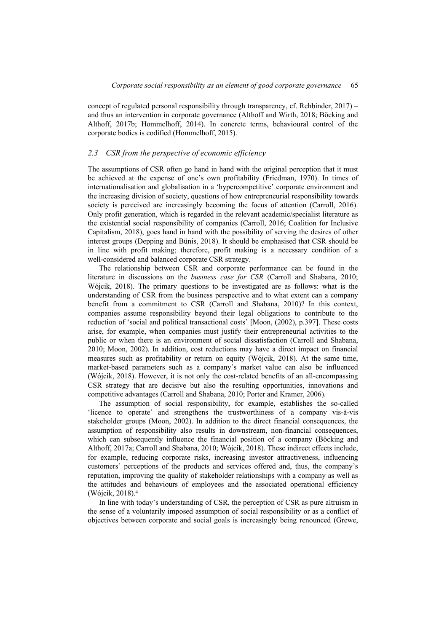concept of regulated personal responsibility through transparency, cf. Rehbinder,  $2017$ ) – and thus an intervention in corporate governance (Althoff and Wirth, 2018; Böcking and Althoff, 2017b; Hommelhoff, 2014). In concrete terms, behavioural control of the corporate bodies is codified (Hommelhoff, 2015).

#### *2.3 CSR from the perspective of economic efficiency*

The assumptions of CSR often go hand in hand with the original perception that it must be achieved at the expense of one's own profitability (Friedman, 1970). In times of internationalisation and globalisation in a 'hypercompetitive' corporate environment and the increasing division of society, questions of how entrepreneurial responsibility towards society is perceived are increasingly becoming the focus of attention (Carroll, 2016). Only profit generation, which is regarded in the relevant academic/specialist literature as the existential social responsibility of companies (Carroll, 2016; Coalition for Inclusive Capitalism, 2018), goes hand in hand with the possibility of serving the desires of other interest groups (Depping and Bünis, 2018). It should be emphasised that CSR should be in line with profit making; therefore, profit making is a necessary condition of a well-considered and balanced corporate CSR strategy.

The relationship between CSR and corporate performance can be found in the literature in discussions on the *business case for CSR* (Carroll and Shabana, 2010; Wójcik, 2018). The primary questions to be investigated are as follows: what is the understanding of CSR from the business perspective and to what extent can a company benefit from a commitment to CSR (Carroll and Shabana, 2010)? In this context, companies assume responsibility beyond their legal obligations to contribute to the reduction of 'social and political transactional costs' [Moon, (2002), p.397]. These costs arise, for example, when companies must justify their entrepreneurial activities to the public or when there is an environment of social dissatisfaction (Carroll and Shabana, 2010; Moon, 2002). In addition, cost reductions may have a direct impact on financial measures such as profitability or return on equity (Wójcik, 2018). At the same time, market-based parameters such as a company's market value can also be influenced (Wójcik, 2018). However, it is not only the cost-related benefits of an all-encompassing CSR strategy that are decisive but also the resulting opportunities, innovations and competitive advantages (Carroll and Shabana, 2010; Porter and Kramer, 2006).

The assumption of social responsibility, for example, establishes the so-called 'licence to operate' and strengthens the trustworthiness of a company vis-à-vis stakeholder groups (Moon, 2002). In addition to the direct financial consequences, the assumption of responsibility also results in downstream, non-financial consequences, which can subsequently influence the financial position of a company (Böcking and Althoff, 2017a; Carroll and Shabana, 2010; Wójcik, 2018). These indirect effects include, for example, reducing corporate risks, increasing investor attractiveness, influencing customers' perceptions of the products and services offered and, thus, the company's reputation, improving the quality of stakeholder relationships with a company as well as the attitudes and behaviours of employees and the associated operational efficiency (Wójcik, 2018).4

In line with today's understanding of CSR, the perception of CSR as pure altruism in the sense of a voluntarily imposed assumption of social responsibility or as a conflict of objectives between corporate and social goals is increasingly being renounced (Grewe,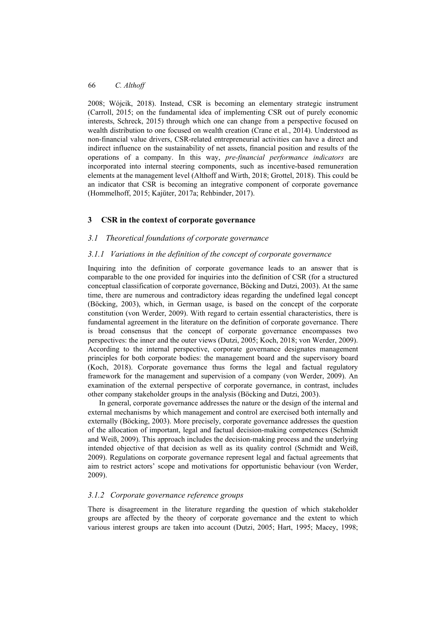2008; Wójcik, 2018). Instead, CSR is becoming an elementary strategic instrument (Carroll, 2015; on the fundamental idea of implementing CSR out of purely economic interests, Schreck, 2015) through which one can change from a perspective focused on wealth distribution to one focused on wealth creation (Crane et al., 2014). Understood as non-financial value drivers, CSR-related entrepreneurial activities can have a direct and indirect influence on the sustainability of net assets, financial position and results of the operations of a company. In this way, *pre-financial performance indicators* are incorporated into internal steering components, such as incentive-based remuneration elements at the management level (Althoff and Wirth, 2018; Grottel, 2018). This could be an indicator that CSR is becoming an integrative component of corporate governance (Hommelhoff, 2015; Kajüter, 2017a; Rehbinder, 2017).

# **3 CSR in the context of corporate governance**

## *3.1 Theoretical foundations of corporate governance*

## *3.1.1 Variations in the definition of the concept of corporate governance*

Inquiring into the definition of corporate governance leads to an answer that is comparable to the one provided for inquiries into the definition of CSR (for a structured conceptual classification of corporate governance, Böcking and Dutzi, 2003). At the same time, there are numerous and contradictory ideas regarding the undefined legal concept (Böcking, 2003), which, in German usage, is based on the concept of the corporate constitution (von Werder, 2009). With regard to certain essential characteristics, there is fundamental agreement in the literature on the definition of corporate governance. There is broad consensus that the concept of corporate governance encompasses two perspectives: the inner and the outer views (Dutzi, 2005; Koch, 2018; von Werder, 2009). According to the internal perspective, corporate governance designates management principles for both corporate bodies: the management board and the supervisory board (Koch, 2018). Corporate governance thus forms the legal and factual regulatory framework for the management and supervision of a company (von Werder, 2009). An examination of the external perspective of corporate governance, in contrast, includes other company stakeholder groups in the analysis (Böcking and Dutzi, 2003).

In general, corporate governance addresses the nature or the design of the internal and external mechanisms by which management and control are exercised both internally and externally (Böcking, 2003). More precisely, corporate governance addresses the question of the allocation of important, legal and factual decision-making competences (Schmidt and Weiß, 2009). This approach includes the decision-making process and the underlying intended objective of that decision as well as its quality control (Schmidt and Weiß, 2009). Regulations on corporate governance represent legal and factual agreements that aim to restrict actors' scope and motivations for opportunistic behaviour (von Werder, 2009).

## *3.1.2 Corporate governance reference groups*

There is disagreement in the literature regarding the question of which stakeholder groups are affected by the theory of corporate governance and the extent to which various interest groups are taken into account (Dutzi, 2005; Hart, 1995; Macey, 1998;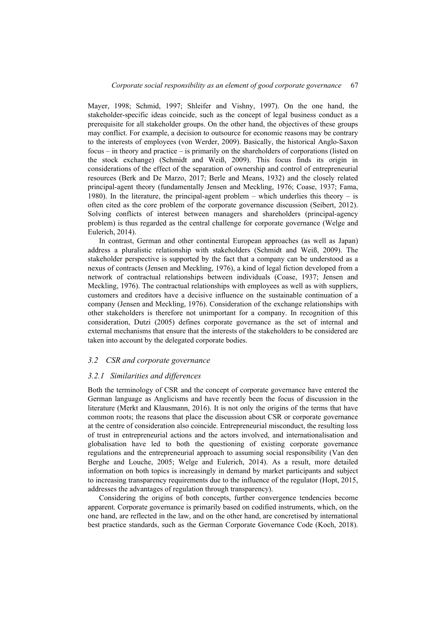Mayer, 1998; Schmid, 1997; Shleifer and Vishny, 1997). On the one hand, the stakeholder-specific ideas coincide, such as the concept of legal business conduct as a prerequisite for all stakeholder groups. On the other hand, the objectives of these groups may conflict. For example, a decision to outsource for economic reasons may be contrary to the interests of employees (von Werder, 2009). Basically, the historical Anglo-Saxon focus – in theory and practice – is primarily on the shareholders of corporations (listed on the stock exchange) (Schmidt and Weiß, 2009). This focus finds its origin in considerations of the effect of the separation of ownership and control of entrepreneurial resources (Berk and De Marzo, 2017; Berle and Means, 1932) and the closely related principal-agent theory (fundamentally Jensen and Meckling, 1976; Coase, 1937; Fama, 1980). In the literature, the principal-agent problem – which underlies this theory – is often cited as the core problem of the corporate governance discussion (Seibert, 2012). Solving conflicts of interest between managers and shareholders (principal-agency problem) is thus regarded as the central challenge for corporate governance (Welge and Eulerich, 2014).

In contrast, German and other continental European approaches (as well as Japan) address a pluralistic relationship with stakeholders (Schmidt and Weiß, 2009). The stakeholder perspective is supported by the fact that a company can be understood as a nexus of contracts (Jensen and Meckling, 1976), a kind of legal fiction developed from a network of contractual relationships between individuals (Coase, 1937; Jensen and Meckling, 1976). The contractual relationships with employees as well as with suppliers, customers and creditors have a decisive influence on the sustainable continuation of a company (Jensen and Meckling, 1976). Consideration of the exchange relationships with other stakeholders is therefore not unimportant for a company. In recognition of this consideration, Dutzi (2005) defines corporate governance as the set of internal and external mechanisms that ensure that the interests of the stakeholders to be considered are taken into account by the delegated corporate bodies.

## *3.2 CSR and corporate governance*

#### *3.2.1 Similarities and differences*

Both the terminology of CSR and the concept of corporate governance have entered the German language as Anglicisms and have recently been the focus of discussion in the literature (Merkt and Klausmann, 2016). It is not only the origins of the terms that have common roots; the reasons that place the discussion about CSR or corporate governance at the centre of consideration also coincide. Entrepreneurial misconduct, the resulting loss of trust in entrepreneurial actions and the actors involved, and internationalisation and globalisation have led to both the questioning of existing corporate governance regulations and the entrepreneurial approach to assuming social responsibility (Van den Berghe and Louche, 2005; Welge and Eulerich, 2014). As a result, more detailed information on both topics is increasingly in demand by market participants and subject to increasing transparency requirements due to the influence of the regulator (Hopt, 2015, addresses the advantages of regulation through transparency).

Considering the origins of both concepts, further convergence tendencies become apparent. Corporate governance is primarily based on codified instruments, which, on the one hand, are reflected in the law, and on the other hand, are concretised by international best practice standards, such as the German Corporate Governance Code (Koch, 2018).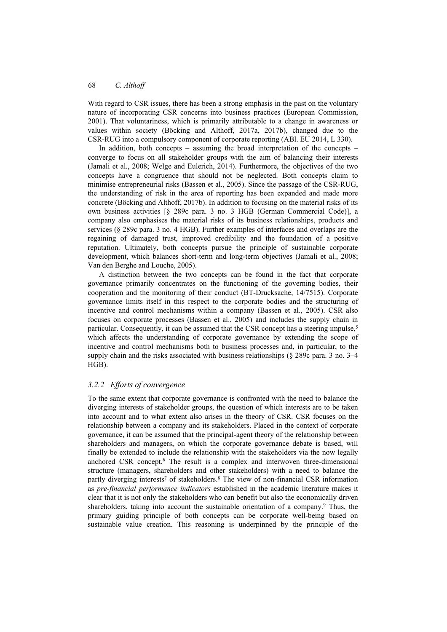With regard to CSR issues, there has been a strong emphasis in the past on the voluntary nature of incorporating CSR concerns into business practices (European Commission, 2001). That voluntariness, which is primarily attributable to a change in awareness or values within society (Böcking and Althoff, 2017a, 2017b), changed due to the CSR-RUG into a compulsory component of corporate reporting (ABl. EU 2014, L 330).

In addition, both concepts – assuming the broad interpretation of the concepts – converge to focus on all stakeholder groups with the aim of balancing their interests (Jamali et al., 2008; Welge and Eulerich, 2014). Furthermore, the objectives of the two concepts have a congruence that should not be neglected. Both concepts claim to minimise entrepreneurial risks (Bassen et al., 2005). Since the passage of the CSR-RUG, the understanding of risk in the area of reporting has been expanded and made more concrete (Böcking and Althoff, 2017b). In addition to focusing on the material risks of its own business activities [§ 289c para. 3 no. 3 HGB (German Commercial Code)], a company also emphasises the material risks of its business relationships, products and services (§ 289c para. 3 no. 4 HGB). Further examples of interfaces and overlaps are the regaining of damaged trust, improved credibility and the foundation of a positive reputation. Ultimately, both concepts pursue the principle of sustainable corporate development, which balances short-term and long-term objectives (Jamali et al., 2008; Van den Berghe and Louche, 2005).

A distinction between the two concepts can be found in the fact that corporate governance primarily concentrates on the functioning of the governing bodies, their cooperation and the monitoring of their conduct (BT-Drucksache, 14/7515). Corporate governance limits itself in this respect to the corporate bodies and the structuring of incentive and control mechanisms within a company (Bassen et al., 2005). CSR also focuses on corporate processes (Bassen et al., 2005) and includes the supply chain in particular. Consequently, it can be assumed that the CSR concept has a steering impulse,<sup>5</sup> which affects the understanding of corporate governance by extending the scope of incentive and control mechanisms both to business processes and, in particular, to the supply chain and the risks associated with business relationships (§ 289c para. 3 no. 3–4 HGB).

## *3.2.2 Efforts of convergence*

To the same extent that corporate governance is confronted with the need to balance the diverging interests of stakeholder groups, the question of which interests are to be taken into account and to what extent also arises in the theory of CSR. CSR focuses on the relationship between a company and its stakeholders. Placed in the context of corporate governance, it can be assumed that the principal-agent theory of the relationship between shareholders and managers, on which the corporate governance debate is based, will finally be extended to include the relationship with the stakeholders via the now legally anchored CSR concept.6 The result is a complex and interwoven three-dimensional structure (managers, shareholders and other stakeholders) with a need to balance the partly diverging interests<sup>7</sup> of stakeholders.<sup>8</sup> The view of non-financial CSR information as *pre-financial performance indicators* established in the academic literature makes it clear that it is not only the stakeholders who can benefit but also the economically driven shareholders, taking into account the sustainable orientation of a company.9 Thus, the primary guiding principle of both concepts can be corporate well-being based on sustainable value creation. This reasoning is underpinned by the principle of the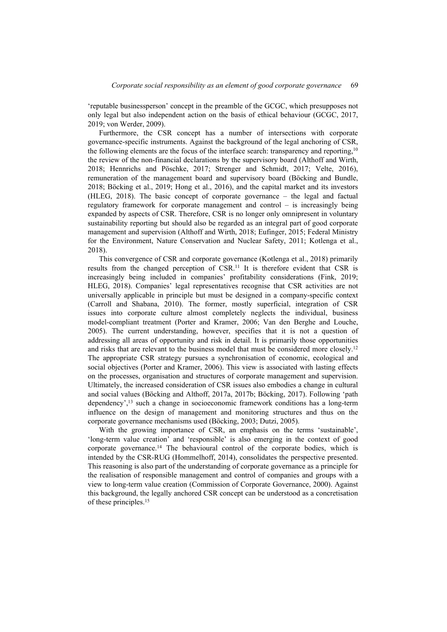'reputable businessperson' concept in the preamble of the GCGC, which presupposes not only legal but also independent action on the basis of ethical behaviour (GCGC, 2017, 2019; von Werder, 2009).

Furthermore, the CSR concept has a number of intersections with corporate governance-specific instruments. Against the background of the legal anchoring of CSR, the following elements are the focus of the interface search: transparency and reporting,10 the review of the non-financial declarations by the supervisory board (Althoff and Wirth, 2018; Hennrichs and Pöschke, 2017; Strenger and Schmidt, 2017; Velte, 2016), remuneration of the management board and supervisory board (Böcking and Bundle, 2018; Böcking et al., 2019; Hong et al., 2016), and the capital market and its investors (HLEG, 2018). The basic concept of corporate governance – the legal and factual regulatory framework for corporate management and control – is increasingly being expanded by aspects of CSR. Therefore, CSR is no longer only omnipresent in voluntary sustainability reporting but should also be regarded as an integral part of good corporate management and supervision (Althoff and Wirth, 2018; Eufinger, 2015; Federal Ministry for the Environment, Nature Conservation and Nuclear Safety, 2011; Kotlenga et al., 2018).

This convergence of CSR and corporate governance (Kotlenga et al., 2018) primarily results from the changed perception of CSR.11 It is therefore evident that CSR is increasingly being included in companies' profitability considerations (Fink, 2019; HLEG, 2018). Companies' legal representatives recognise that CSR activities are not universally applicable in principle but must be designed in a company-specific context (Carroll and Shabana, 2010). The former, mostly superficial, integration of CSR issues into corporate culture almost completely neglects the individual, business model-compliant treatment (Porter and Kramer, 2006; Van den Berghe and Louche, 2005). The current understanding, however, specifies that it is not a question of addressing all areas of opportunity and risk in detail. It is primarily those opportunities and risks that are relevant to the business model that must be considered more closely.12 The appropriate CSR strategy pursues a synchronisation of economic, ecological and social objectives (Porter and Kramer, 2006). This view is associated with lasting effects on the processes, organisation and structures of corporate management and supervision. Ultimately, the increased consideration of CSR issues also embodies a change in cultural and social values (Böcking and Althoff, 2017a, 2017b; Böcking, 2017). Following 'path dependency',13 such a change in socioeconomic framework conditions has a long-term influence on the design of management and monitoring structures and thus on the corporate governance mechanisms used (Böcking, 2003; Dutzi, 2005).

With the growing importance of CSR, an emphasis on the terms 'sustainable', 'long-term value creation' and 'responsible' is also emerging in the context of good corporate governance.<sup>14</sup> The behavioural control of the corporate bodies, which is intended by the CSR-RUG (Hommelhoff, 2014), consolidates the perspective presented. This reasoning is also part of the understanding of corporate governance as a principle for the realisation of responsible management and control of companies and groups with a view to long-term value creation (Commission of Corporate Governance, 2000). Against this background, the legally anchored CSR concept can be understood as a concretisation of these principles.15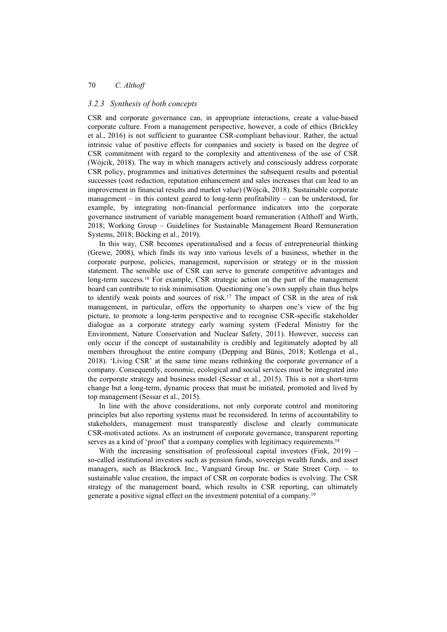#### *3.2.3 Synthesis of both concepts*

CSR and corporate governance can, in appropriate interactions, create a value-based corporate culture. From a management perspective, however, a code of ethics (Brickley et al., 2016) is not sufficient to guarantee CSR-compliant behaviour. Rather, the actual intrinsic value of positive effects for companies and society is based on the degree of CSR commitment with regard to the complexity and attentiveness of the use of CSR (Wójcik, 2018). The way in which managers actively and consciously address corporate CSR policy, programmes and initiatives determines the subsequent results and potential successes (cost reduction, reputation enhancement and sales increases that can lead to an improvement in financial results and market value) (Wójcik, 2018). Sustainable corporate management – in this context geared to long-term profitability – can be understood, for example, by integrating non-financial performance indicators into the corporate governance instrument of variable management board remuneration (Althoff and Wirth, 2018; Working Group – Guidelines for Sustainable Management Board Remuneration Systems, 2018; Böcking et al., 2019).

In this way, CSR becomes operationalised and a focus of entrepreneurial thinking (Grewe, 2008), which finds its way into various levels of a business, whether in the corporate purpose, policies, management, supervision or strategy or in the mission statement. The sensible use of CSR can serve to generate competitive advantages and long-term success.<sup>16</sup> For example, CSR strategic action on the part of the management board can contribute to risk minimisation. Questioning one's own supply chain thus helps to identify weak points and sources of risk.17 The impact of CSR in the area of risk management, in particular, offers the opportunity to sharpen one's view of the big picture, to promote a long-term perspective and to recognise CSR-specific stakeholder dialogue as a corporate strategy early warning system (Federal Ministry for the Environment, Nature Conservation and Nuclear Safety, 2011). However, success can only occur if the concept of sustainability is credibly and legitimately adopted by all members throughout the entire company (Depping and Bünis, 2018; Kotlenga et al., 2018). 'Living CSR' at the same time means rethinking the corporate governance of a company. Consequently, economic, ecological and social services must be integrated into the corporate strategy and business model (Sessar et al., 2015). This is not a short-term change but a long-term, dynamic process that must be initiated, promoted and lived by top management (Sessar et al., 2015).

In line with the above considerations, not only corporate control and monitoring principles but also reporting systems must be reconsidered. In terms of accountability to stakeholders, management must transparently disclose and clearly communicate CSR-motivated actions. As an instrument of corporate governance, transparent reporting serves as a kind of 'proof' that a company complies with legitimacy requirements.<sup>18</sup>

With the increasing sensitisation of professional capital investors (Fink, 2019) – so-called institutional investors such as pension funds, sovereign wealth funds, and asset managers, such as Blackrock Inc., Vanguard Group Inc. or State Street Corp. – to sustainable value creation, the impact of CSR on corporate bodies is evolving. The CSR strategy of the management board, which results in CSR reporting, can ultimately generate a positive signal effect on the investment potential of a company.19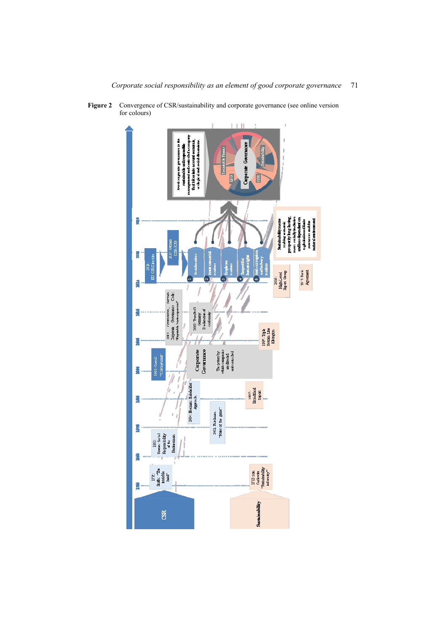

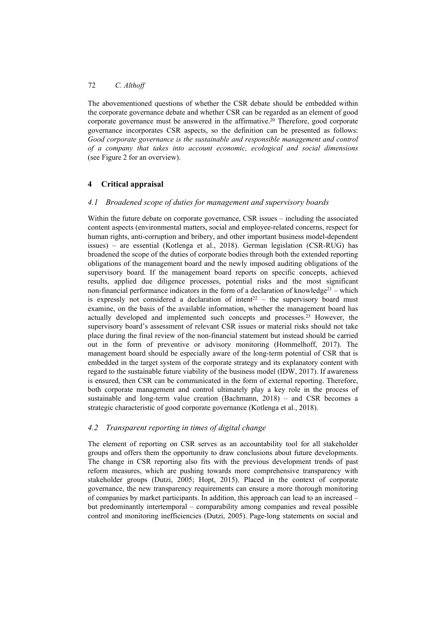The abovementioned questions of whether the CSR debate should be embedded within the corporate governance debate and whether CSR can be regarded as an element of good corporate governance must be answered in the affirmative.<sup>20</sup> Therefore, good corporate governance incorporates CSR aspects, so the definition can be presented as follows: *Good corporate governance is the sustainable and responsible management and control of a company that takes into account economic, ecological and social dimensions* (see Figure 2 for an overview).

# **4 Critical appraisal**

# *4.1 Broadened scope of duties for management and supervisory boards*

Within the future debate on corporate governance, CSR issues – including the associated content aspects (environmental matters, social and employee-related concerns, respect for human rights, anti-corruption and bribery, and other important business model-dependent issues) – are essential (Kotlenga et al., 2018). German legislation (CSR-RUG) has broadened the scope of the duties of corporate bodies through both the extended reporting obligations of the management board and the newly imposed auditing obligations of the supervisory board. If the management board reports on specific concepts, achieved results, applied due diligence processes, potential risks and the most significant non-financial performance indicators in the form of a declaration of knowledge<sup>21</sup> – which is expressly not considered a declaration of intent<sup>22</sup> – the supervisory board must examine, on the basis of the available information, whether the management board has actually developed and implemented such concepts and processes.23 However, the supervisory board's assessment of relevant CSR issues or material risks should not take place during the final review of the non-financial statement but instead should be carried out in the form of preventive or advisory monitoring (Hommelhoff, 2017). The management board should be especially aware of the long-term potential of CSR that is embedded in the target system of the corporate strategy and its explanatory content with regard to the sustainable future viability of the business model (IDW, 2017). If awareness is ensured, then CSR can be communicated in the form of external reporting. Therefore, both corporate management and control ultimately play a key role in the process of sustainable and long-term value creation (Bachmann, 2018) – and CSR becomes a strategic characteristic of good corporate governance (Kotlenga et al., 2018).

# *4.2 Transparent reporting in times of digital change*

The element of reporting on CSR serves as an accountability tool for all stakeholder groups and offers them the opportunity to draw conclusions about future developments. The change in CSR reporting also fits with the previous development trends of past reform measures, which are pushing towards more comprehensive transparency with stakeholder groups (Dutzi, 2005; Hopt, 2015). Placed in the context of corporate governance, the new transparency requirements can ensure a more thorough monitoring of companies by market participants. In addition, this approach can lead to an increased – but predominantly intertemporal – comparability among companies and reveal possible control and monitoring inefficiencies (Dutzi, 2005). Page-long statements on social and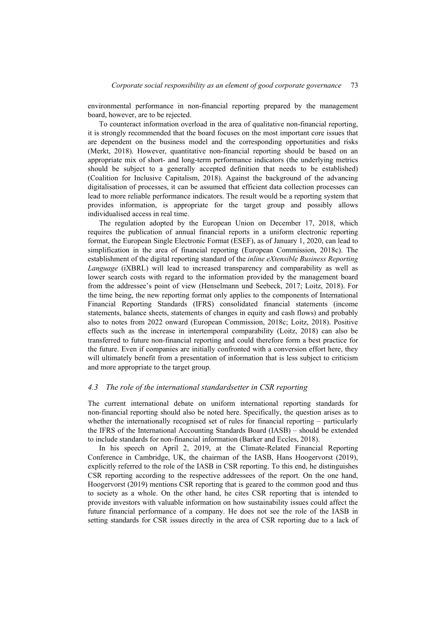environmental performance in non-financial reporting prepared by the management board, however, are to be rejected.

To counteract information overload in the area of qualitative non-financial reporting, it is strongly recommended that the board focuses on the most important core issues that are dependent on the business model and the corresponding opportunities and risks (Merkt, 2018). However, quantitative non-financial reporting should be based on an appropriate mix of short- and long-term performance indicators (the underlying metrics should be subject to a generally accepted definition that needs to be established) (Coalition for Inclusive Capitalism, 2018). Against the background of the advancing digitalisation of processes, it can be assumed that efficient data collection processes can lead to more reliable performance indicators. The result would be a reporting system that provides information, is appropriate for the target group and possibly allows individualised access in real time.

The regulation adopted by the European Union on December 17, 2018, which requires the publication of annual financial reports in a uniform electronic reporting format, the European Single Electronic Format (ESEF), as of January 1, 2020, can lead to simplification in the area of financial reporting (European Commission, 2018c). The establishment of the digital reporting standard of the *inline eXtensible Business Reporting Language* (iXBRL) will lead to increased transparency and comparability as well as lower search costs with regard to the information provided by the management board from the addressee's point of view (Henselmann und Seebeck, 2017; Loitz, 2018). For the time being, the new reporting format only applies to the components of International Financial Reporting Standards (IFRS) consolidated financial statements (income statements, balance sheets, statements of changes in equity and cash flows) and probably also to notes from 2022 onward (European Commission, 2018c; Loitz, 2018). Positive effects such as the increase in intertemporal comparability (Loitz, 2018) can also be transferred to future non-financial reporting and could therefore form a best practice for the future. Even if companies are initially confronted with a conversion effort here, they will ultimately benefit from a presentation of information that is less subject to criticism and more appropriate to the target group.

#### *4.3 The role of the international standardsetter in CSR reporting*

The current international debate on uniform international reporting standards for non-financial reporting should also be noted here. Specifically, the question arises as to whether the internationally recognised set of rules for financial reporting – particularly the IFRS of the International Accounting Standards Board (IASB) – should be extended to include standards for non-financial information (Barker and Eccles, 2018).

In his speech on April 2, 2019, at the Climate-Related Financial Reporting Conference in Cambridge, UK, the chairman of the IASB, Hans Hoogervorst (2019), explicitly referred to the role of the IASB in CSR reporting. To this end, he distinguishes CSR reporting according to the respective addressees of the report. On the one hand, Hoogervorst (2019) mentions CSR reporting that is geared to the common good and thus to society as a whole. On the other hand, he cites CSR reporting that is intended to provide investors with valuable information on how sustainability issues could affect the future financial performance of a company. He does not see the role of the IASB in setting standards for CSR issues directly in the area of CSR reporting due to a lack of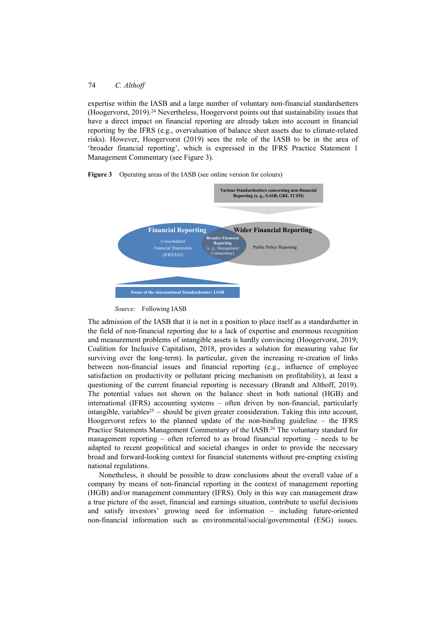expertise within the IASB and a large number of voluntary non-financial standardsetters (Hoogervorst, 2019).24 Nevertheless, Hoogervorst points out that sustainability issues that have a direct impact on financial reporting are already taken into account in financial reporting by the IFRS (e.g., overvaluation of balance sheet assets due to climate-related risks). However, Hoogervorst (2019) sees the role of the IASB to be in the area of 'broader financial reporting', which is expressed in the IFRS Practice Statement 1 Management Commentary (see Figure 3).







The admission of the IASB that it is not in a position to place itself as a standardsetter in the field of non-financial reporting due to a lack of expertise and enormous recognition and measurement problems of intangible assets is hardly convincing (Hoogervorst, 2019; Coalition for Inclusive Capitalism, 2018, provides a solution for measuring value for surviving over the long-term). In particular, given the increasing re-creation of links between non-financial issues and financial reporting (e.g., influence of employee satisfaction on productivity or pollutant pricing mechanism on profitability), at least a questioning of the current financial reporting is necessary (Brandt and Althoff, 2019). The potential values not shown on the balance sheet in both national (HGB) and international (IFRS) accounting systems – often driven by non-financial, particularly intangible, variables<sup>25</sup> – should be given greater consideration. Taking this into account, Hoogervorst refers to the planned update of the non-binding guideline – the IFRS Practice Statements Management Commentary of the IASB.26 The voluntary standard for management reporting – often referred to as broad financial reporting – needs to be adapted to recent geopolitical and societal changes in order to provide the necessary broad and forward-looking context for financial statements without pre-empting existing national regulations.

Nonetheless, it should be possible to draw conclusions about the overall value of a company by means of non-financial reporting in the context of management reporting (HGB) and/or management commentary (IFRS). Only in this way can management draw a true picture of the asset, financial and earnings situation, contribute to useful decisions and satisfy investors' growing need for information – including future-oriented non-financial information such as environmental/social/governmental (ESG) issues.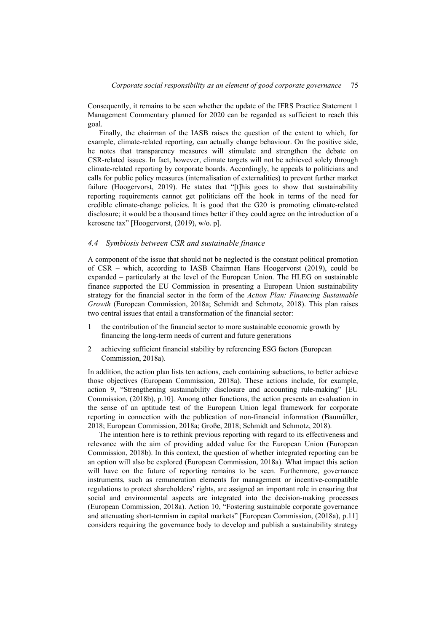Consequently, it remains to be seen whether the update of the IFRS Practice Statement 1 Management Commentary planned for 2020 can be regarded as sufficient to reach this goal.

Finally, the chairman of the IASB raises the question of the extent to which, for example, climate-related reporting, can actually change behaviour. On the positive side, he notes that transparency measures will stimulate and strengthen the debate on CSR-related issues. In fact, however, climate targets will not be achieved solely through climate-related reporting by corporate boards. Accordingly, he appeals to politicians and calls for public policy measures (internalisation of externalities) to prevent further market failure (Hoogervorst, 2019). He states that "[t]his goes to show that sustainability reporting requirements cannot get politicians off the hook in terms of the need for credible climate-change policies. It is good that the G20 is promoting climate-related disclosure; it would be a thousand times better if they could agree on the introduction of a kerosene tax" [Hoogervorst, (2019), w/o. p].

# *4.4 Symbiosis between CSR and sustainable finance*

A component of the issue that should not be neglected is the constant political promotion of CSR – which, according to IASB Chairmen Hans Hoogervorst (2019), could be expanded – particularly at the level of the European Union. The HLEG on sustainable finance supported the EU Commission in presenting a European Union sustainability strategy for the financial sector in the form of the *Action Plan: Financing Sustainable Growth* (European Commission, 2018a; Schmidt and Schmotz, 2018). This plan raises two central issues that entail a transformation of the financial sector:

- 1 the contribution of the financial sector to more sustainable economic growth by financing the long-term needs of current and future generations
- 2 achieving sufficient financial stability by referencing ESG factors (European Commission, 2018a).

In addition, the action plan lists ten actions, each containing subactions, to better achieve those objectives (European Commission, 2018a). These actions include, for example, action 9, "Strengthening sustainability disclosure and accounting rule-making" [EU Commission, (2018b), p.10]. Among other functions, the action presents an evaluation in the sense of an aptitude test of the European Union legal framework for corporate reporting in connection with the publication of non-financial information (Baumüller, 2018; European Commission, 2018a; Große, 2018; Schmidt and Schmotz, 2018).

The intention here is to rethink previous reporting with regard to its effectiveness and relevance with the aim of providing added value for the European Union (European Commission, 2018b). In this context, the question of whether integrated reporting can be an option will also be explored (European Commission, 2018a). What impact this action will have on the future of reporting remains to be seen. Furthermore, governance instruments, such as remuneration elements for management or incentive-compatible regulations to protect shareholders' rights, are assigned an important role in ensuring that social and environmental aspects are integrated into the decision-making processes (European Commission, 2018a). Action 10, "Fostering sustainable corporate governance and attenuating short-termism in capital markets" [European Commission, (2018a), p.11] considers requiring the governance body to develop and publish a sustainability strategy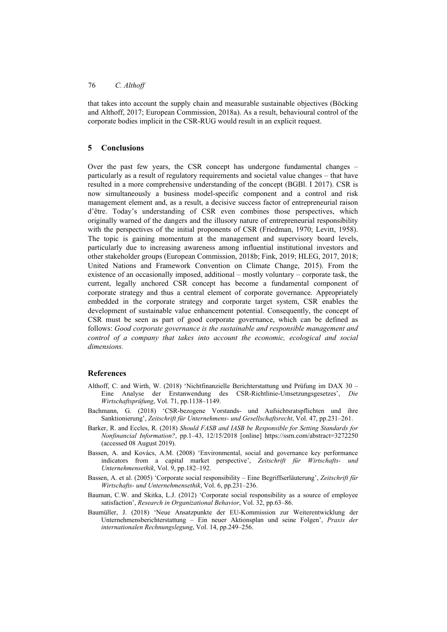that takes into account the supply chain and measurable sustainable objectives (Böcking and Althoff, 2017; European Commission, 2018a). As a result, behavioural control of the corporate bodies implicit in the CSR-RUG would result in an explicit request.

# **5 Conclusions**

Over the past few years, the CSR concept has undergone fundamental changes – particularly as a result of regulatory requirements and societal value changes – that have resulted in a more comprehensive understanding of the concept (BGBl. I 2017). CSR is now simultaneously a business model-specific component and a control and risk management element and, as a result, a decisive success factor of entrepreneurial raison d'être. Today's understanding of CSR even combines those perspectives, which originally warned of the dangers and the illusory nature of entrepreneurial responsibility with the perspectives of the initial proponents of CSR (Friedman, 1970; Levitt, 1958). The topic is gaining momentum at the management and supervisory board levels, particularly due to increasing awareness among influential institutional investors and other stakeholder groups (European Commission, 2018b; Fink, 2019; HLEG, 2017, 2018; United Nations and Framework Convention on Climate Change, 2015). From the existence of an occasionally imposed, additional – mostly voluntary – corporate task, the current, legally anchored CSR concept has become a fundamental component of corporate strategy and thus a central element of corporate governance. Appropriately embedded in the corporate strategy and corporate target system, CSR enables the development of sustainable value enhancement potential. Consequently, the concept of CSR must be seen as part of good corporate governance, which can be defined as follows: *Good corporate governance is the sustainable and responsible management and control of a company that takes into account the economic, ecological and social dimensions.*

## **References**

- Althoff, C. and Wirth, W. (2018) 'Nichtfinanzielle Berichterstattung und Prüfung im DAX 30 Eine Analyse der Erstanwendung des CSR-Richtlinie-Umsetzungsgesetzes', *Die Wirtschaftsprüfung*, Vol. 71, pp.1138–1149.
- Bachmann, G. (2018) 'CSR-bezogene Vorstands- und Aufsichtsratspflichten und ihre Sanktionierung', *Zeitschrift für Unternehmens- und Gesellschaftsrecht*, Vol. 47, pp.231–261.
- Barker, R. and Eccles, R. (2018) *Should FASB and IASB be Responsible for Setting Standards for Nonfinancial Information?*, pp.1–43, 12/15/2018 [online] https://ssrn.com/abstract=3272250 (accessed 08 August 2019).
- Bassen, A. and Kovács, A.M. (2008) 'Environmental, social and governance key performance indicators from a capital market perspective', *Zeitschrift für Wirtschafts- und Unternehmensethik*, Vol. 9, pp.182–192.
- Bassen, A. et al. (2005) 'Corporate social responsibility Eine Begriffserläuterung', *Zeitschrift für Wirtschafts- und Unternehmensethik*, Vol. 6, pp.231–236.
- Bauman, C.W. and Skitka, L.J. (2012) 'Corporate social responsibility as a source of employee satisfaction', *Research in Organizational Behavior*, Vol. 32, pp.63–86.
- Baumüller, J. (2018) 'Neue Ansatzpunkte der EU-Kommission zur Weiterentwicklung der Unternehmensberichterstattung – Ein neuer Aktionsplan und seine Folgen', *Praxis der internationalen Rechnungslegung*, Vol. 14, pp.249–256.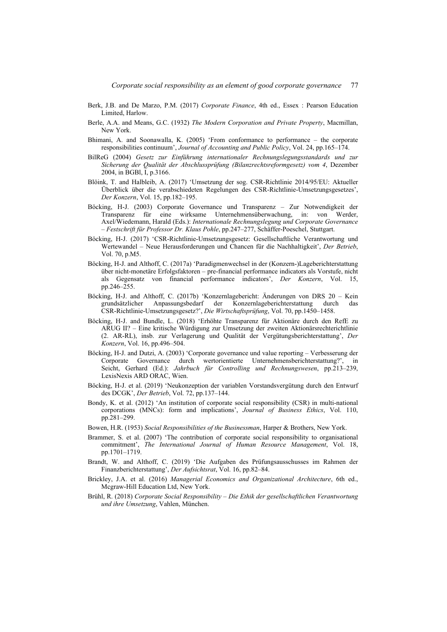- Berk, J.B. and De Marzo, P.M. (2017) *Corporate Finance*, 4th ed., Essex : Pearson Education Limited, Harlow.
- Berle, A.A. and Means, G.C. (1932) *The Modern Corporation and Private Property*, Macmillan, New York.
- Bhimani, A. and Soonawalla, K. (2005) 'From conformance to performance the corporate responsibilities continuum', *Journal of Accounting and Public Policy*, Vol. 24, pp.165–174.
- BilReG (2004) *Gesetz zur Einführung internationaler Rechnungslegungsstandards und zur Sicherung der Qualität der Abschlussprüfung (Bilanzrechtsreformgesetz) vom 4*, Dezember 2004, in BGBl, I, p.3166.
- Blöink, T. and Halbleib, A. (2017) 'Umsetzung der sog. CSR-Richtlinie 2014/95/EU: Aktueller Überblick über die verabschiedeten Regelungen des CSR-Richtlinie-Umsetzungsgesetzes', *Der Konzern*, Vol. 15, pp.182–195.
- Böcking, H-J. (2003) Corporate Governance und Transparenz Zur Notwendigkeit der Transparenz für eine wirksame Unternehmensüberwachung, in: von Werder, Axel/Wiedemann, Harald (Eds.): *Internationale Rechnungslegung und Corporate Governance – Festschrift für Professor Dr. Klaus Pohle*, pp.247–277, Schäffer-Poeschel, Stuttgart.
- Böcking, H-J. (2017) 'CSR-Richtlinie-Umsetzungsgesetz: Gesellschaftliche Verantwortung und Wertewandel – Neue Herausforderungen und Chancen für die Nachhaltigkeit', *Der Betrieb*, Vol. 70, p.M5.
- Böcking, H-J. and Althoff, C. (2017a) 'Paradigmenwechsel in der (Konzern-)Lageberichterstattung über nicht-monetäre Erfolgsfaktoren – pre-financial performance indicators als Vorstufe, nicht als Gegensatz von financial performance indicators', *Der Konzern*, Vol. 15, pp.246–255.
- Böcking, H-J. and Althoff, C. (2017b) 'Konzernlagebericht: Änderungen von DRS 20 Kein grundsätzlicher Anpassungsbedarf der Konzernlageberichterstattung durch CSR-Richtlinie-Umsetzungsgesetz?', *Die Wirtschaftsprüfung*, Vol. 70, pp.1450–1458.
- Böcking, H-J. and Bundle, L. (2018) 'Erhöhte Transparenz für Aktionäre durch den RefE zu ARUG II? – Eine kritische Würdigung zur Umsetzung der zweiten Aktionärsrechterichtlinie (2. AR-RL), insb. zur Verlagerung und Qualität der Vergütungsberichterstattung', *Der Konzern*, Vol. 16, pp.496–504.
- Böcking, H-J. and Dutzi, A. (2003) 'Corporate governance und value reporting Verbesserung der Corporate Governance durch wertorientierte Unternehmensberichterstattung?', in Seicht, Gerhard (Ed.): *Jahrbuch für Controlling und Rechnungswesen*, pp.213–239, LexisNexis ARD ORAC, Wien.
- Böcking, H-J. et al. (2019) 'Neukonzeption der variablen Vorstandsvergütung durch den Entwurf des DCGK', *Der Betrieb*, Vol. 72, pp.137–144.
- Bondy, K. et al. (2012) 'An institution of corporate social responsibility (CSR) in multi-national corporations (MNCs): form and implications', *Journal of Business Ethics*, Vol. 110, pp.281–299.
- Bowen, H.R. (1953) *Social Responsibilities of the Businessman*, Harper & Brothers, New York.
- Brammer, S. et al. (2007) 'The contribution of corporate social responsibility to organisational commitment', *The International Journal of Human Resource Management*, Vol. 18, pp.1701–1719.
- Brandt, W. and Althoff, C. (2019) 'Die Aufgaben des Prüfungsausschusses im Rahmen der Finanzberichterstattung', *Der Aufsichtsrat*, Vol. 16, pp.82–84.
- Brickley, J.A. et al. (2016) *Managerial Economics and Organizational Architecture*, 6th ed., Mcgraw-Hill Education Ltd, New York.
- Brühl, R. (2018) *Corporate Social Responsibility Die Ethik der gesellschaftlichen Verantwortung und ihre Umsetzung*, Vahlen, München.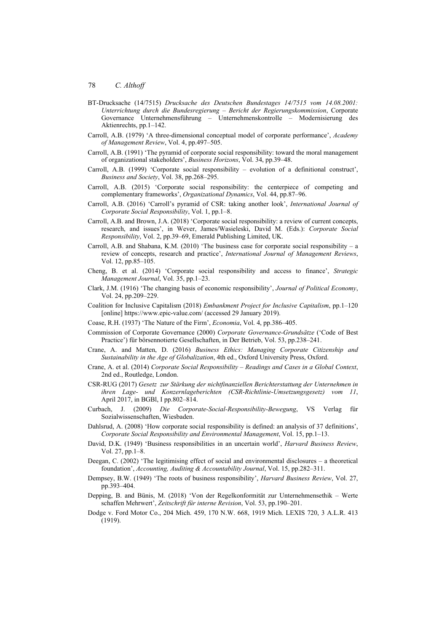- BT-Drucksache (14/7515) *Drucksache des Deutschen Bundestages 14/7515 vom 14.08.2001: Unterrichtung durch die Bundesregierung – Bericht der Regierungskommission*, Corporate Governance Unternehmensführung – Unternehmenskontrolle – Modernisierung des Aktienrechts, pp.1–142.
- Carroll, A.B. (1979) 'A three-dimensional conceptual model of corporate performance', *Academy of Management Review*, Vol. 4, pp.497–505.
- Carroll, A.B. (1991) 'The pyramid of corporate social responsibility: toward the moral management of organizational stakeholders', *Business Horizons*, Vol. 34, pp.39–48.
- Carroll, A.B. (1999) 'Corporate social responsibility evolution of a definitional construct', *Business and Society*, Vol. 38, pp.268–295.
- Carroll, A.B. (2015) 'Corporate social responsibility: the centerpiece of competing and complementary frameworks', *Organizational Dynamics*, Vol. 44, pp.87–96.
- Carroll, A.B. (2016) 'Carroll's pyramid of CSR: taking another look', *International Journal of Corporate Social Responsibility*, Vol. 1, pp.1–8.
- Carroll, A.B. and Brown, J.A. (2018) 'Corporate social responsibility: a review of current concepts, research, and issues', in Wever, James/Wasieleski, David M. (Eds.): *Corporate Social Responsibility*, Vol. 2, pp.39–69, Emerald Publishing Limited, UK.
- Carroll, A.B. and Shabana, K.M. (2010) 'The business case for corporate social responsibility a review of concepts, research and practice', *International Journal of Management Reviews*, Vol. 12, pp.85–105.
- Cheng, B. et al. (2014) 'Corporate social responsibility and access to finance', *Strategic Management Journal*, Vol. 35, pp.1–23.
- Clark, J.M. (1916) 'The changing basis of economic responsibility', *Journal of Political Economy*, Vol. 24, pp.209–229.
- Coalition for Inclusive Capitalism (2018) *Embankment Project for Inclusive Capitalism*, pp.1–120 [online] https://www.epic-value.com/ (accessed 29 January 2019).
- Coase, R.H. (1937) 'The Nature of the Firm', *Economia*, Vol. 4, pp.386–405.
- Commission of Corporate Governance (2000) *Corporate Governance-Grundsätze* ('Code of Best Practice') für börsennotierte Gesellschaften, in Der Betrieb, Vol. 53, pp.238–241.
- Crane, A. and Matten, D. (2016) *Business Ethics: Managing Corporate Citizenship and Sustainability in the Age of Globalization*, 4th ed., Oxford University Press, Oxford.
- Crane, A. et al. (2014) *Corporate Social Responsibility Readings and Cases in a Global Context*, 2nd ed., Routledge, London.
- CSR-RUG (2017) *Gesetz zur Stärkung der nichtfinanziellen Berichterstattung der Unternehmen in ihren Lage- und Konzernlageberichten (CSR-Richtlinie-Umsetzungsgesetz) vom 11*, April 2017, in BGBl, I pp.802–814.
- Curbach, J. (2009) *Die Corporate-Social-Responsibility-Bewegung*, VS Verlag für Sozialwissenschaften, Wiesbaden.
- Dahlsrud, A. (2008) 'How corporate social responsibility is defined: an analysis of 37 definitions', *Corporate Social Responsibility and Environmental Management*, Vol. 15, pp.1–13.
- David, D.K. (1949) 'Business responsibilities in an uncertain world', *Harvard Business Review*, Vol. 27, pp.1–8.
- Deegan, C. (2002) 'The legitimising effect of social and environmental disclosures a theoretical foundation', *Accounting, Auditing & Accountability Journal*, Vol. 15, pp.282–311.
- Dempsey, B.W. (1949) 'The roots of business responsibility', *Harvard Business Review*, Vol. 27, pp.393–404.
- Depping, B. and Bünis, M. (2018) 'Von der Regelkonformität zur Unternehmensethik Werte schaffen Mehrwert', *Zeitschrift für interne Revision*, Vol. 53, pp.190–201.
- Dodge v. Ford Motor Co., 204 Mich. 459, 170 N.W. 668, 1919 Mich. LEXIS 720, 3 A.L.R. 413 (1919).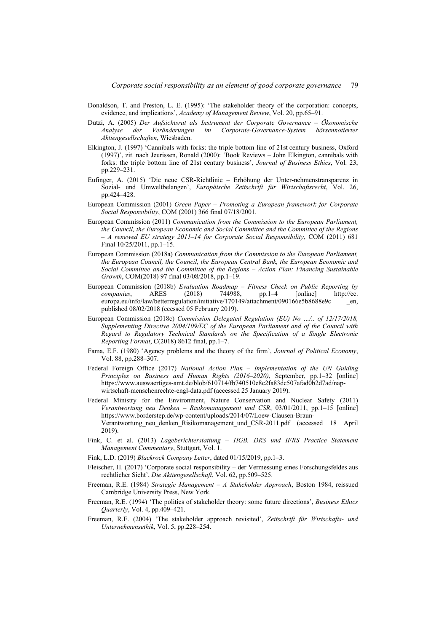- Donaldson, T. and Preston, L. E. (1995): 'The stakeholder theory of the corporation: concepts, evidence, and implications', *Academy of Management Review*, Vol. 20, pp.65–91.
- Dutzi, A. (2005) *Der Aufsichtsrat als Instrument der Corporate Governance Ökonomische Analyse der Veränderungen im Corporate-Governance-System börsennotierter Aktiengesellschaften*, Wiesbaden.
- Elkington, J. (1997) 'Cannibals with forks: the triple bottom line of 21st century business, Oxford (1997)', zit. nach Jeurissen, Ronald (2000): 'Book Reviews – John Elkington, cannibals with forks: the triple bottom line of 21st century business', *Journal of Business Ethics*, Vol. 23, pp.229–231.
- Eufinger, A. (2015) 'Die neue CSR-Richtlinie Erhöhung der Unter-nehmenstransparenz in Sozial- und Umweltbelangen', *Europäische Zeitschrift für Wirtschaftsrecht*, Vol. 26, pp.424–428.
- European Commission (2001) *Green Paper Promoting a European framework for Corporate Social Responsibility*, COM (2001) 366 final 07/18/2001.
- European Commission (2011) *Communication from the Commission to the European Parliament, the Council, the European Economic and Social Committee and the Committee of the Regions – A renewed EU strategy 2011–14 for Corporate Social Responsibility*, COM (2011) 681 Final 10/25/2011, pp.1–15.
- European Commission (2018a) *Communication from the Commission to the European Parliament, the European Council, the Council, the European Central Bank, the European Economic and Social Committee and the Committee of the Regions – Action Plan: Financing Sustainable Growth*, COM(2018) 97 final 03/08/2018, pp.1–19.
- European Commission (2018b) *Evaluation Roadmap Fitness Check on Public Reporting by companies*, ARES (2018) 744988, pp.1–4 [online] http://ec. europa.eu/info/law/betterregulation/initiative/170149/attachment/090166e5b8688e9c en, published 08/02/2018 (ccessed 05 February 2019).
- European Commission (2018c) *Commission Delegated Regulation (EU) No …/.. of 12/17/2018, Supplementing Directive 2004/109/EC of the European Parliament and of the Council with Regard to Regulatory Technical Standards on the Specification of a Single Electronic Reporting Format*, C(2018) 8612 final, pp.1–7.
- Fama, E.F. (1980) 'Agency problems and the theory of the firm', *Journal of Political Economy*, Vol. 88, pp.288–307.
- Federal Foreign Office (2017) *National Action Plan Implementation of the UN Guiding Principles on Business and Human Rights (2016–2020)*, September, pp.1–32 [online] https://www.auswaertiges-amt.de/blob/610714/fb740510e8c2fa83dc507afad0b2d7ad/napwirtschaft-menschenrechte-engl-data.pdf (accessed 25 January 2019).
- Federal Ministry for the Environment, Nature Conservation and Nuclear Safety (2011) *Verantwortung neu Denken – Risikomanagement und CSR*, 03/01/2011, pp.1–15 [online] https://www.borderstep.de/wp-content/uploads/2014/07/Loew-Clausen-Braun-Verantwortung\_neu\_denken\_Risikomanagement\_und\_CSR-2011.pdf (accessed 18 April 2019).
- Fink, C. et al. (2013) *Lageberichterstattung HGB, DRS und IFRS Practice Statement Management Commentary*, Stuttgart, Vol. 1.
- Fink, L.D. (2019) *Blackrock Company Letter*, dated 01/15/2019, pp.1–3.
- Fleischer, H. (2017) 'Corporate social responsibility der Vermessung eines Forschungsfeldes aus rechtlicher Sicht', *Die Aktiengesellschaft*, Vol. 62, pp.509–525.
- Freeman, R.E. (1984) *Strategic Management A Stakeholder Approach*, Boston 1984, reissued Cambridge University Press, New York.
- Freeman, R.E. (1994) 'The politics of stakeholder theory: some future directions', *Business Ethics Quarterly*, Vol. 4, pp.409–421.
- Freeman, R.E. (2004) 'The stakeholder approach revisited', *Zeitschrift für Wirtschafts- und Unternehmensethik*, Vol. 5, pp.228–254.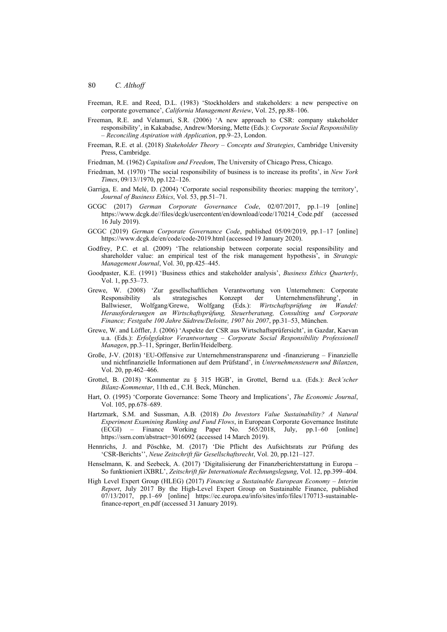- Freeman, R.E. and Reed, D.L. (1983) 'Stockholders and stakeholders: a new perspective on corporate governance', *California Management Review*, Vol. 25, pp.88–106.
- Freeman, R.E. and Velamuri, S.R. (2006) 'A new approach to CSR: company stakeholder responsibility', in Kakabadse, Andrew/Morsing, Mette (Eds.): *Corporate Social Responsibility – Reconciling Aspiration with Application*, pp.9–23, London.
- Freeman, R.E. et al. (2018) *Stakeholder Theory Concepts and Strategies*, Cambridge University Press, Cambridge.
- Friedman, M. (1962) *Capitalism and Freedom*, The University of Chicago Press, Chicago.
- Friedman, M. (1970) 'The social responsibility of business is to increase its profits', in *New York Times*, 09/13//1970, pp.122–126.
- Garriga, E. and Melé, D. (2004) 'Corporate social responsibility theories: mapping the territory', *Journal of Business Ethics*, Vol. 53, pp.51–71.
- GCGC (2017) *German Corporate Governance Code*, 02/07/2017, pp.1–19 [online] https://www.dcgk.de//files/dcgk/usercontent/en/download/code/170214\_Code.pdf (accessed 16 July 2019).
- GCGC (2019) *German Corporate Governance Code*, published 05/09/2019, pp.1–17 [online] https://www.dcgk.de/en/code/code-2019.html (accessed 19 January 2020).
- Godfrey, P.C. et al. (2009) 'The relationship between corporate social responsibility and shareholder value: an empirical test of the risk management hypothesis', in *Strategic Management Journal*, Vol. 30, pp.425–445.
- Goodpaster, K.E. (1991) 'Business ethics and stakeholder analysis', *Business Ethics Quarterly*, Vol. 1, pp.53–73.
- Grewe, W. (2008) 'Zur gesellschaftlichen Verantwortung von Unternehmen: Corporate Responsibility als strategisches Konzept der Unternehmensführung', in Ballwieser, Wolfgang/Grewe, Wolfgang (Eds.): *Wirtschaftsprüfung im Wandel: Herausforderungen an Wirtschaftsprüfung, Steuerberatung, Consulting und Corporate Finance; Festgabe 100 Jahre Südtreu/Deloitte, 1907 bis 2007*, pp.31–53, München.
- Grewe, W. and Löffler, J. (2006) 'Aspekte der CSR aus Wirtschaftsprüfersicht', in Gazdar, Kaevan u.a. (Eds.): *Erfolgsfaktor Verantwortung – Corporate Social Responsibility Professionell Managen*, pp.3–11, Springer, Berlin/Heidelberg.
- Große, J-V. (2018) 'EU-Offensive zur Unternehmenstransparenz und -finanzierung Finanzielle und nichtfinanzielle Informationen auf dem Prüfstand', in *Unternehmensteuern und Bilanzen*, Vol. 20, pp.462–466.
- Grottel, B. (2018) 'Kommentar zu § 315 HGB', in Grottel, Bernd u.a. (Eds.): *Beck'scher Bilanz-Kommentar*, 11th ed., C.H. Beck, München.
- Hart, O. (1995) 'Corporate Governance: Some Theory and Implications', *The Economic Journal*, Vol. 105, pp.678–689.
- Hartzmark, S.M. and Sussman, A.B. (2018) *Do Investors Value Sustainability? A Natural Experiment Examining Ranking and Fund Flows*, in European Corporate Governance Institute (ECGI) – Finance Working Paper No. 565/2018, July, pp.1–60 [online] https://ssrn.com/abstract=3016092 (accessed 14 March 2019).
- Hennrichs, J. and Pöschke, M. (2017) 'Die Pflicht des Aufsichtsrats zur Prüfung des 'CSR-Berichts'', *Neue Zeitschrift für Gesellschaftsrecht*, Vol. 20, pp.121–127.
- Henselmann, K. and Seebeck, A. (2017) 'Digitalisierung der Finanzberichterstattung in Europa So funktioniert iXBRL', *Zeitschrift für Internationale Rechnungslegung*, Vol. 12, pp.399–404.
- High Level Expert Group (HLEG) (2017) *Financing a Sustainable European Economy Interim Report*, July 2017 By the High-Level Expert Group on Sustainable Finance, published 07/13/2017, pp.1–69 [online] https://ec.europa.eu/info/sites/info/files/170713-sustainablefinance-report\_en.pdf (accessed 31 January 2019).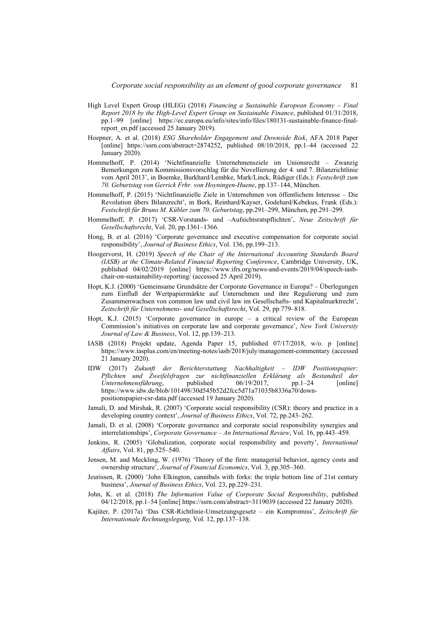- High Level Expert Group (HLEG) (2018) *Financing a Sustainable European Economy Final Report 2018 by the High-Level Expert Group on Sustainable Finance*, published 01/31/2018, pp.1–99 [online] https://ec.europa.eu/info/sites/info/files/180131-sustainable-finance-finalreport\_en.pdf (accessed 25 January 2019).
- Hoepner, A. et al. (2018) *ESG Shareholder Engagement and Downside Risk*, AFA 2018 Paper [online] https://ssrn.com/abstract=2874252, published 08/10/2018, pp.1–44 (accessed 22) January 2020).
- Hommelhoff, P. (2014) 'Nichtfinanzielle Unternehmensziele im Unionsrecht Zwanzig Bemerkungen zum Kommissionsvorschlag für die Novellierung der 4. und 7. Bilanzrichtlinie vom April 2013', in Boemke, Burkhard/Lembke, Mark/Linck, Rüdiger (Eds.): *Festschrift zum 70. Geburtstag von Gerrick Frhr. von Hoyningen-Huene*, pp.137–144, München.
- Hommelhoff, P. (2015) 'Nichtfinanzielle Ziele in Unternehmen von öffentlichem Interesse Die Revolution übers Bilanzrecht', in Bork, Reinhard/Kayser, Godehard/Kebekus, Frank (Eds.): *Festschrift für Bruno M. Kübler zum 70. Geburtstag*, pp.291–299, München, pp.291–299.
- Hommelhoff, P. (2017) 'CSR-Vorstands- und –Aufsichtsratspflichten', *Neue Zeitschrift für Gesellschaftsrecht*, Vol. 20, pp.1361–1366.
- Hong, B. et al. (2016) 'Corporate governance and executive compensation for corporate social responsibility', *Journal of Business Ethics*, Vol. 136, pp.199–213.
- Hoogervorst, H. (2019) *Speech of the Chair of the International Accounting Standards Board (IASB) at the Climate-Related Financial Reporting Conference*, Cambridge University, UK, published 04/02/2019 [online] https://www.ifrs.org/news-and-events/2019/04/speech-iasbchair-on-sustainability-reporting/ (accessed 25 April 2019).
- Hopt, K.J. (2000) 'Gemeinsame Grundsätze der Corporate Governance in Europa? Überlegungen zum Einfluß der Wertpapiermärkte auf Unternehmen und ihre Regulierung und zum Zusammenwachsen von common law und civil law im Gesellschafts- und Kapitalmarktrecht', *Zeitschrift für Unternehmens- und Gesellschaftsrecht*, Vol. 29, pp.779–818.
- Hopt, K.J. (2015) 'Corporate governance in europe a critical review of the European Commission's initiatives on corporate law and corporate governance', *New York University Journal of Law & Business*, Vol. 12, pp.139–213.
- IASB (2018) Projekt update, Agenda Paper 15, published 07/17/2018, w/o. p [online] https://www.iasplus.com/en/meeting-notes/iasb/2018/july/management-commentary (accessed 21 January 2020).
- IDW (2017) *Zukunft der Berichterstattung Nachhaltigkeit IDW Positionspapier: Pflichten und Zweifelsfragen zur nichtfinanziellen Erklärung als Bestandteil der Unternehmensführung*, published 06/19/2017, pp.1–24 [online] https://www.idw.de/blob/101498/30d545b52d2fcc5d71a71035b8336a70/downpositionspapier-csr-data.pdf (accessed 19 January 2020).
- Jamali, D. and Mirshak, R. (2007) 'Corporate social responsibility (CSR): theory and practice in a developing country context', *Journal of Business Ethics*, Vol. 72, pp.243–262.
- Jamali, D. et al. (2008) 'Corporate governance and corporate social responsibility synergies and interrelationships', *Corporate Governance – An International Review*, Vol. 16, pp.443–459.
- Jenkins, R. (2005) 'Globalization, corporate social responsibility and poverty', *International Affairs*, Vol. 81, pp.525–540.
- Jensen, M. and Meckling, W. (1976) 'Theory of the firm: managerial behavior, agency costs and ownership structure', *Journal of Financial Economics*, Vol. 3, pp.305–360.
- Jeurissen, R. (2000) 'John Elkington, cannibals with forks: the triple bottom line of 21st century business', *Journal of Business Ethics*, Vol. 23, pp.229–231.
- John, K. et al. (2018) *The Information Value of Corporate Social Responsibility*, published 04/12/2018, pp.1–54 [online] https://ssrn.com/abstract=3119039 (accessed 22 January 2020).
- Kajüter, P. (2017a) 'Das CSR-Richtlinie-Umsetzungsgesetz ein Kompromiss', *Zeitschrift für Internationale Rechnungslegung*, Vol. 12, pp.137–138.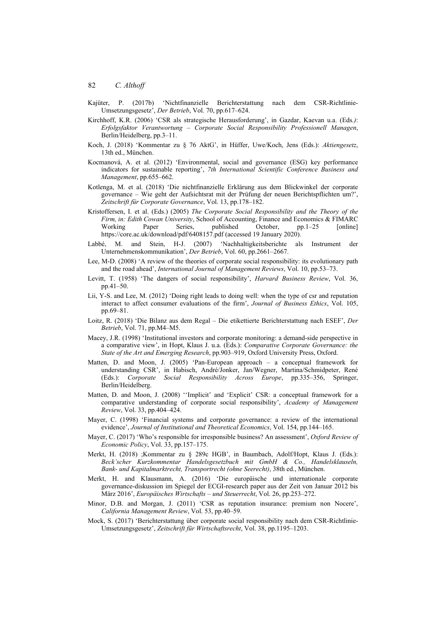- Kajüter, P. (2017b) 'Nichtfinanzielle Berichterstattung nach dem CSR-Richtlinie-Umsetzungsgesetz', *Der Betrieb*, Vol. 70, pp.617–624.
- Kirchhoff, K.R. (2006) 'CSR als strategische Herausforderung', in Gazdar, Kaevan u.a. (Eds*.)*: *Erfolgsfaktor Verantwortung – Corporate Social Responsibility Professionell Managen*, Berlin/Heidelberg, pp.3–11.
- Koch, J. (2018) 'Kommentar zu § 76 AktG', in Hüffer, Uwe/Koch, Jens (Eds.): *Aktiengesetz*, 13th ed., München.
- Kocmanová, A. et al. (2012) 'Environmental, social and governance (ESG) key performance indicators for sustainable reporting', *7th International Scientific Conference Business and Management*, pp.655–662.
- Kotlenga, M. et al. (2018) 'Die nichtfinanzielle Erklärung aus dem Blickwinkel der corporate governance – Wie geht der Aufsichtsrat mit der Prüfung der neuen Berichtspflichten um?', *Zeitschrift für Corporate Governance*, Vol. 13, pp.178–182.
- Kristoffersen, I. et al. (Eds.) (2005) *The Corporate Social Responsibility and the Theory of the Firm, in: Edith Cowan University*, School of Accounting, Finance and Economics & FIMARC Working Paper Series, published October, pp.1–25 [online] https://core.ac.uk/download/pdf/6408157.pdf (accessed 19 January 2020).
- Labbé, M. and Stein, H-J. (2007) 'Nachhaltigkeitsberichte als Instrument der Unternehmenskommunikation', *Der Betrieb*, Vol. 60, pp.2661–2667.
- Lee, M-D. (2008) 'A review of the theories of corporate social responsibility: its evolutionary path and the road ahead', *International Journal of Management Reviews*, Vol. 10, pp.53–73.
- Levitt, T. (1958) 'The dangers of social responsibility', *Harvard Business Review*, Vol. 36, pp.41–50.
- Lii, Y-S. and Lee, M. (2012) 'Doing right leads to doing well: when the type of csr and reputation interact to affect consumer evaluations of the firm', *Journal of Business Ethics*, Vol. 105, pp.69–81.
- Loitz, R. (2018) 'Die Bilanz aus dem Regal Die etikettierte Berichterstattung nach ESEF', *Der Betrieb*, Vol. 71, pp.M4–M5.
- Macey, J.R. (1998) 'Institutional investors and corporate monitoring: a demand-side perspective in a comparative view', in Hopt, Klaus J. u.a. (Eds.): *Comparative Corporate Governance: the State of the Art and Emerging Research*, pp.903–919, Oxford University Press, Oxford.
- Matten, D. and Moon, J. (2005) 'Pan-European approach a conceptual framework for understanding CSR', in Habisch, André/Jonker, Jan/Wegner, Martina/Schmidpeter, René (Eds.): *Corporate Social Responsibility Across Europe*, pp.335–356, Springer, Berlin/Heidelberg.
- Matten, D. and Moon, J. (2008) ''Implicit' and 'Explicit' CSR: a conceptual framework for a comparative understanding of corporate social responsibility', *Academy of Management Review*, Vol. 33, pp.404–424.
- Mayer, C. (1998) 'Financial systems and corporate governance: a review of the international evidence', *Journal of Institutional and Theoretical Economics*, Vol. 154, pp.144–165.
- Mayer, C. (2017) 'Who's responsible for irresponsible business? An assessment', *Oxford Review of Economic Policy*, Vol. 33, pp.157–175.
- Merkt, H. (2018) ;Kommentar zu § 289c HGB', in Baumbach, Adolf/Hopt, Klaus J. (Eds.): *Beck'scher Kurzkommentar Handelsgesetzbuch mit GmbH & Co., Handelsklauseln, Bank- und Kapitalmarktrecht, Transportrecht (ohne Seerecht)*, 38th ed., München.
- Merkt, H. and Klausmann, A. (2016) 'Die europäische und internationale corporate governance-diskussion im Spiegel der ECGI-research paper aus der Zeit von Januar 2012 bis März 2016', *Europäisches Wirtschafts – und Steuerrecht*, Vol. 26, pp.253–272.
- Minor, D.B. and Morgan, J. (2011) 'CSR as reputation insurance: premium non Nocere', *California Management Review*, Vol. 53, pp.40–59.
- Mock, S. (2017) 'Berichterstattung über corporate social responsibility nach dem CSR-Richtlinie-Umsetzungsgesetz', *Zeitschrift für Wirtschaftsrecht*, Vol. 38, pp.1195–1203.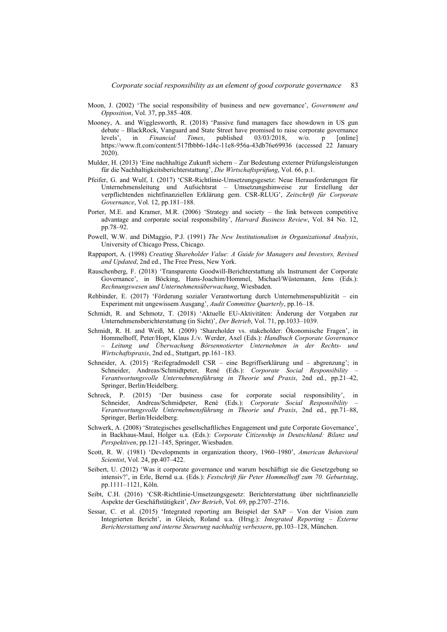- Moon, J. (2002) 'The social responsibility of business and new governance', *Government and Opposition*, Vol. 37, pp.385–408.
- Mooney, A. and Wigglesworth, R. (2018) 'Passive fund managers face showdown in US gun debate – BlackRock, Vanguard and State Street have promised to raise corporate governance levels', in *Financial Times*, published 03/03/2018, w/o. p [online] https://www.ft.com/content/517fbbb6-1d4c-11e8-956a-43db76e69936 (accessed 22 January 2020).
- Mulder, H. (2013) 'Eine nachhaltige Zukunft sichern Zur Bedeutung externer Prüfungsleistungen für die Nachhaltigkeitsberichterstattung', *Die Wirtschaftsprüfung*, Vol. 66, p.1.
- Pfeifer, G. and Wulf, I. (2017) 'CSR-Richtlinie-Umsetzungsgesetz: Neue Herausforderungen für Unternehmensleitung und Aufsichtsrat – Umsetzungshinweise zur Erstellung der verpflichtenden nichtfinanziellen Erklärung gem. CSR-RLUG', *Zeitschrift für Corporate Governance*, Vol. 12, pp.181–188.
- Porter, M.E. and Kramer, M.R. (2006) 'Strategy and society the link between competitive advantage and corporate social responsibility', *Harvard Business Review*, Vol. 84 No. 12, pp.78–92.
- Powell, W.W. and DiMaggio, P.J. (1991) *The New Institutionalism in Organizational Analysis*, University of Chicago Press, Chicago.
- Rappaport, A. (1998) *Creating Shareholder Value: A Guide for Managers and Investors, Revised and Updated*, 2nd ed., The Free Press, New York.
- Rauschenberg, F. (2018) 'Transparente Goodwill-Berichterstattung als Instrument der Corporate Governance', in Böcking, Hans-Joachim/Hommel, Michael/Wüstemann, Jens (Eds.): *Rechnungswesen und Unternehmensüberwachung*, Wiesbaden.
- Rehbinder, E. (2017) 'Förderung sozialer Verantwortung durch Unternehmenspublizität ein Experiment mit ungewissem Ausgang', *Audit Committee Quarterly*, pp.16–18.
- Schmidt, R. and Schmotz, T. (2018) 'Aktuelle EU-Aktivitäten: Änderung der Vorgaben zur Unternehmensberichterstattung (in Sicht)', *Der Betrieb*, Vol. 71, pp.1033–1039.
- Schmidt, R. H. and Weiß, M. (2009) 'Shareholder vs. stakeholder: Ökonomische Fragen', in Hommelhoff, Peter/Hopt, Klaus J./v. Werder, Axel (Eds.): *Handbuch Corporate Governance – Leitung und Überwachung Börsennotierter Unternehmen in der Rechts- und Wirtschaftspraxis*, 2nd ed., Stuttgart, pp.161–183.
- Schneider, A. (2015) 'Reifegradmodell CSR eine Begriffserklärung und abgrenzung'; in Schneider, Andreas/Schmidtpeter, René (Eds.): *Corporate Social Responsibility – Verantwortungsvolle Unternehmensführung in Theorie und Praxis*, 2nd ed., pp.21–42, Springer, Berlin/Heidelberg.
- Schreck, P. (2015) 'Der business case for corporate social responsibility', in Schneider, Andreas/Schmidpeter, René (Eds.): *Corporate Social Responsibility – Verantwortungsvolle Unternehmensführung in Theorie und Praxis*, 2nd ed., pp.71–88, Springer, Berlin/Heidelberg.
- Schwerk, A. (2008) 'Strategisches gesellschaftliches Engagement und gute Corporate Governance', in Backhaus-Maul, Holger u.a. (Eds.): *Corporate Citizenship in Deutschland: Bilanz und Perspektiven*, pp.121–145, Springer, Wiesbaden.
- Scott, R. W. (1981) 'Developments in organization theory, 1960–1980', *American Behavioral Scientist*, Vol. 24, pp.407–422.
- Seibert, U. (2012) 'Was it corporate governance und warum beschäftigt sie die Gesetzgebung so intensiv?', in Erle, Bernd u.a. (Eds.): *Festschrift für Peter Hommelhoff zum 70. Geburtstag*, pp.1111–1121, Köln.
- Seibt, C.H. (2016) 'CSR-Richtlinie-Umsetzungsgesetz: Berichterstattung über nichtfinanzielle Aspekte der Geschäftstätigkeit', *Der Betrieb*, Vol. 69, pp.2707–2716.
- Sessar, C. et al. (2015) 'Integrated reporting am Beispiel der SAP Von der Vision zum Integrierten Bericht', in Gleich, Roland u.a. (Hrsg.): *Integrated Reporting – Externe Berichterstattung und interne Steuerung nachhaltig verbessern*, pp.103–128, München.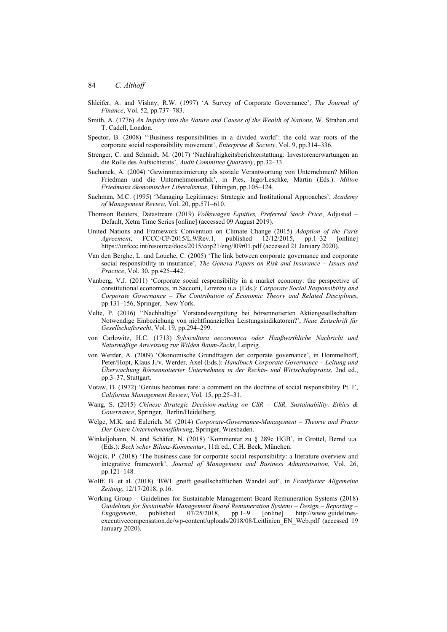- Shleifer, A. and Vishny, R.W. (1997) 'A Survey of Corporate Governance', *The Journal of Finance*, Vol. 52, pp.737–783.
- Smith, A. (1776) *An Inquiry into the Nature and Causes of the Wealth of Nations*, W. Strahan and T. Cadell, London.
- Spector, B. (2008) ''Business responsibilities in a divided world': the cold war roots of the corporate social responsibility movement', *Enterprise & Society*, Vol. 9, pp.314–336.
- Strenger, C. and Schmidt, M. (2017) 'Nachhaltigkeitsberichterstattung: Investorenerwartungen an die Rolle des Aufsichtsrats', *Audit Committee Quarterly*, pp.32–33.
- Suchanek, A. (2004) 'Gewinnmaximierung als soziale Verantwortung von Unternehmen? Milton Friedman und die Unternehmensethik', in Pies, Ingo/Leschke, Martin (Eds.): *Milton Friedmans ökonomischer Liberalismus*, Tübingen, pp.105–124.
- Suchman, M.C. (1995) 'Managing Legitimacy: Strategic and Institutional Approaches', *Academy of Management Review*, Vol. 20, pp.571–610.
- Thomson Reuters, Datastream (2019) *Volkswagen Equities, Preferred Stock Price*, Adjusted Default, Xetra Time Series [online] (accessed 09 August 2019).
- United Nations and Framework Convention on Climate Change (2015) *Adoption of the Paris Agreement*, FCCC/CP/2015/L.9/Rev.1, published 12/12/2015, pp.1–32 [online] https://unfccc.int/resource/docs/2015/cop21/eng/l09r01.pdf (accessed 21 January 2020).
- Van den Berghe, L. and Louche, C. (2005) 'The link between corporate governance and corporate social responsibility in insurance', *The Geneva Papers on Risk and Insurance – Issues and Practice*, Vol. 30, pp.425–442.
- Vanberg, V.J. (2011) 'Corporate social responsibility in a market economy: the perspective of constitutional economics, in Sacconi, Lorenzo u.a. (Eds.): *Corporate Social Responsibility and Corporate Governance – The Contribution of Economic Theory and Related Disciplines*, pp.131–156, Springer, New York.
- Velte, P. (2016) ''Nachhaltige' Vorstandsvergütung bei börsennotierten Aktiengesellschaften: Notwendige Einbeziehung von nichtfinanziellen Leistungsindikatoren?', *Neue Zeitschrift für Gesellschaftsrecht*, Vol. 19, pp.294–299.
- von Carlowitz, H.C. (1713) *Sylvicultura oeconomica oder Haußwirthliche Nachricht und Naturmäßige Anweisung zur Wilden Baum-Zucht*, Leipzig.
- von Werder, A. (2009) 'Ökonomische Grundfragen der corporate governance', in Hommelhoff, Peter/Hopt, Klaus J./v. Werder, Axel (Eds.): *Handbuch Corporate Governance – Leitung und Überwachung Börsennotierter Unternehmen in der Rechts- und Wirtschaftspraxis*, 2nd ed., pp.3–37, Stuttgart.
- Votaw, D. (1972) 'Genius becomes rare: a comment on the doctrine of social responsibility Pt. I', *California Management Review*, Vol. 15, pp.25–31.
- Wang, S. (2015) *Chinese Strategic Decision-making on CSR CSR, Sustainability, Ethics & Governance*, Springer, Berlin/Heidelberg.
- Welge, M.K. and Eulerich, M. (2014) *Corporate-Governance-Management Theorie und Praxis Der Guten Unternehmensführung*, Springer, Wiesbaden.
- Winkeljohann, N. and Schäfer, N. (2018) 'Kommentar zu § 289c HGB', in Grottel, Bernd u.a. (Eds.): *Beck'scher Bilanz-Kommentar*, 11th ed., C.H. Beck, München.
- Wójcik, P. (2018) 'The business case for corporate social responsibility: a literature overview and integrative framework', *Journal of Management and Business Administration*, Vol. 26, pp.121–148.
- Wolff, B. et al. (2018) 'BWL greift gesellschaftlichen Wandel auf', in *Frankfurter Allgemeine Zeitung*, 12/17/2018, p.16.
- Working Group Guidelines for Sustainable Management Board Remuneration Systems (2018) *Guidelines for Sustainable Management Board Remuneration Systems – Design – Reporting – Engagement*, published 07/25/2018, pp.1–9 [online] http://www.guidelinesexecutivecompensation.de/wp-content/uploads/2018/08/Leitlinien\_EN\_Web.pdf (accessed 19 January 2020).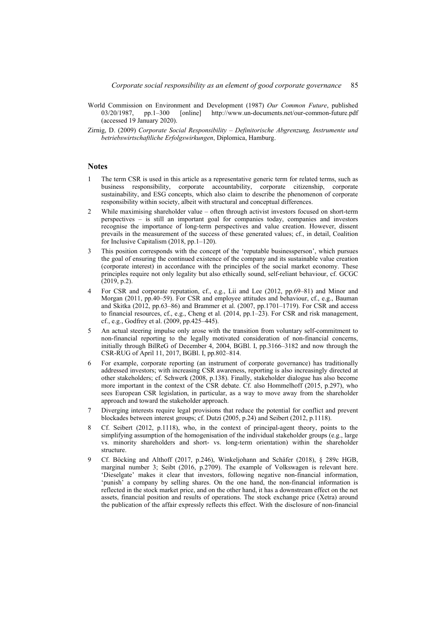- World Commission on Environment and Development (1987) *Our Common Future*, published 03/20/1987, pp.1–300 [online] http://www.un-documents.net/our-common-future.pdf (accessed 19 January 2020).
- Zirnig, D. (2009) *Corporate Social Responsibility Definitorische Abgrenzung, Instrumente und betriebswirtschaftliche Erfolgswirkungen*, Diplomica, Hamburg.

## **Notes**

- 1 The term CSR is used in this article as a representative generic term for related terms, such as business responsibility, corporate accountability, corporate citizenship, corporate sustainability, and ESG concepts, which also claim to describe the phenomenon of corporate responsibility within society, albeit with structural and conceptual differences.
- 2 While maximising shareholder value often through activist investors focused on short-term perspectives – is still an important goal for companies today, companies and investors recognise the importance of long-term perspectives and value creation. However, dissent prevails in the measurement of the success of these generated values; cf., in detail, Coalition for Inclusive Capitalism (2018, pp.1–120).
- 3 This position corresponds with the concept of the 'reputable businessperson', which pursues the goal of ensuring the continued existence of the company and its sustainable value creation (corporate interest) in accordance with the principles of the social market economy. These principles require not only legality but also ethically sound, self-reliant behaviour, cf. GCGC (2019, p.2).
- 4 For CSR and corporate reputation, cf., e.g., Lii and Lee (2012, pp.69–81) and Minor and Morgan (2011, pp.40–59). For CSR and employee attitudes and behaviour, cf., e.g., Bauman and Skitka (2012, pp.63–86) and Brammer et al. (2007, pp.1701–1719). For CSR and access to financial resources, cf., e.g., Cheng et al. (2014, pp.1–23). For CSR and risk management, cf., e.g., Godfrey et al. (2009, pp.425–445).
- 5 An actual steering impulse only arose with the transition from voluntary self-commitment to non-financial reporting to the legally motivated consideration of non-financial concerns, initially through BilReG of December 4, 2004, BGBl. I, pp.3166–3182 and now through the CSR-RUG of April 11, 2017, BGBl. I, pp.802–814.
- 6 For example, corporate reporting (an instrument of corporate governance) has traditionally addressed investors; with increasing CSR awareness, reporting is also increasingly directed at other stakeholders; cf. Schwerk (2008, p.138). Finally, stakeholder dialogue has also become more important in the context of the CSR debate. Cf. also Hommelhoff (2015, p.297), who sees European CSR legislation, in particular, as a way to move away from the shareholder approach and toward the stakeholder approach.
- 7 Diverging interests require legal provisions that reduce the potential for conflict and prevent blockades between interest groups; cf. Dutzi (2005, p.24) and Seibert (2012, p.1118).
- 8 Cf. Seibert (2012, p.1118), who, in the context of principal-agent theory, points to the simplifying assumption of the homogenisation of the individual stakeholder groups (e.g., large vs. minority shareholders and short- vs. long-term orientation) within the shareholder structure.
- 9 Cf. Böcking and Althoff (2017, p.246), Winkeljohann and Schäfer (2018), § 289c HGB, marginal number 3; Seibt (2016, p.2709). The example of Volkswagen is relevant here. 'Dieselgate' makes it clear that investors, following negative non-financial information, 'punish' a company by selling shares. On the one hand, the non-financial information is reflected in the stock market price, and on the other hand, it has a downstream effect on the net assets, financial position and results of operations. The stock exchange price (Xetra) around the publication of the affair expressly reflects this effect. With the disclosure of non-financial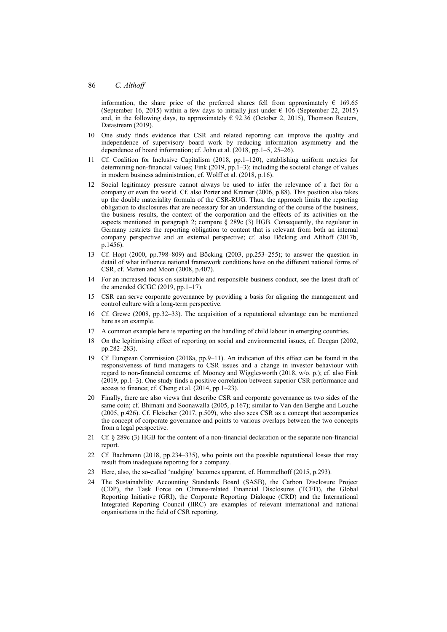information, the share price of the preferred shares fell from approximately  $\epsilon$  169.65 (September 16, 2015) within a few days to initially just under  $\epsilon$  106 (September 22, 2015) and, in the following days, to approximately  $\epsilon$  92.36 (October 2, 2015), Thomson Reuters, Datastream (2019).

- 10 One study finds evidence that CSR and related reporting can improve the quality and independence of supervisory board work by reducing information asymmetry and the dependence of board information; cf. John et al. (2018, pp.1–5, 25–26).
- 11 Cf. Coalition for Inclusive Capitalism (2018, pp.1–120), establishing uniform metrics for determining non-financial values; Fink (2019, pp.1–3); including the societal change of values in modern business administration, cf. Wolff et al. (2018, p.16).
- 12 Social legitimacy pressure cannot always be used to infer the relevance of a fact for a company or even the world. Cf. also Porter and Kramer (2006, p.88). This position also takes up the double materiality formula of the CSR-RUG. Thus, the approach limits the reporting obligation to disclosures that are necessary for an understanding of the course of the business, the business results, the context of the corporation and the effects of its activities on the aspects mentioned in paragraph 2; compare § 289c (3) HGB. Consequently, the regulator in Germany restricts the reporting obligation to content that is relevant from both an internal company perspective and an external perspective; cf. also Böcking and Althoff (2017b, p.1456).
- 13 Cf. Hopt (2000, pp.798–809) and Böcking (2003, pp.253–255); to answer the question in detail of what influence national framework conditions have on the different national forms of CSR, cf. Matten and Moon (2008, p.407).
- 14 For an increased focus on sustainable and responsible business conduct, see the latest draft of the amended GCGC (2019, pp.1–17).
- 15 CSR can serve corporate governance by providing a basis for aligning the management and control culture with a long-term perspective.
- 16 Cf. Grewe (2008, pp.32–33). The acquisition of a reputational advantage can be mentioned here as an example.
- 17 A common example here is reporting on the handling of child labour in emerging countries.
- 18 On the legitimising effect of reporting on social and environmental issues, cf. Deegan (2002, pp.282–283).
- 19 Cf. European Commission (2018a, pp.9–11). An indication of this effect can be found in the responsiveness of fund managers to CSR issues and a change in investor behaviour with regard to non-financial concerns; cf. Mooney and Wigglesworth (2018, w/o. p.); cf. also Fink (2019, pp.1–3). One study finds a positive correlation between superior CSR performance and access to finance; cf. Cheng et al. (2014, pp.1–23).
- 20 Finally, there are also views that describe CSR and corporate governance as two sides of the same coin; cf. Bhimani and Soonawalla (2005, p.167); similar to Van den Berghe and Louche (2005, p.426). Cf. Fleischer (2017, p.509), who also sees CSR as a concept that accompanies the concept of corporate governance and points to various overlaps between the two concepts from a legal perspective.
- 21 Cf. § 289c (3) HGB for the content of a non-financial declaration or the separate non-financial report.
- 22 Cf. Bachmann (2018, pp.234–335), who points out the possible reputational losses that may result from inadequate reporting for a company.
- 23 Here, also, the so-called 'nudging' becomes apparent, cf. Hommelhoff (2015, p.293).
- 24 The Sustainability Accounting Standards Board (SASB), the Carbon Disclosure Project (CDP), the Task Force on Climate-related Financial Disclosures (TCFD), the Global Reporting Initiative (GRI), the Corporate Reporting Dialogue (CRD) and the International Integrated Reporting Council (IIRC) are examples of relevant international and national organisations in the field of CSR reporting.